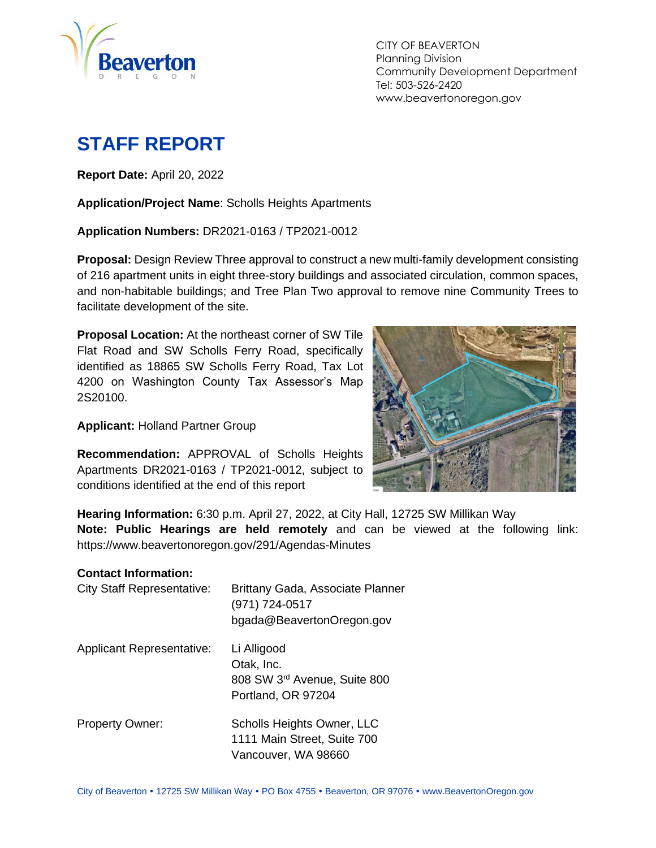

CITY OF BEAVERTON Planning Division Community Development Department Tel: 503-526-2420 www.beavertonoregon.gov

# <span id="page-0-0"></span>**STAFF REPORT**

**Report Date:** April 20, 2022

**Application/Project Name**: Scholls Heights Apartments

**Application Numbers:** DR2021-0163 / TP2021-0012

**Proposal:** Design Review Three approval to construct a new multi-family development consisting of 216 apartment units in eight three-story buildings and associated circulation, common spaces, and non-habitable buildings; and Tree Plan Two approval to remove nine Community Trees to facilitate development of the site.

**Proposal Location:** At the northeast corner of SW Tile Flat Road and SW Scholls Ferry Road, specifically identified as 18865 SW Scholls Ferry Road, Tax Lot 4200 on Washington County Tax Assessor's Map 2S20100.

**Applicant:** Holland Partner Group

**Recommendation:** APPROVAL of Scholls Heights Apartments DR2021-0163 / TP2021-0012, subject to conditions identified at the end of this report



**Hearing Information:** 6:30 p.m. April 27, 2022, at City Hall, 12725 SW Millikan Way **Note: Public Hearings are held remotely** and can be viewed at the following link: https://www.beavertonoregon.gov/291/Agendas-Minutes

#### **Contact Information:**

| <b>City Staff Representative:</b> | Brittany Gada, Associate Planner<br>(971) 724-0517<br>bgada@BeavertonOregon.gov  |
|-----------------------------------|----------------------------------------------------------------------------------|
| <b>Applicant Representative:</b>  | Li Alligood<br>Otak, Inc.<br>808 SW 3rd Avenue, Suite 800<br>Portland, OR 97204  |
| <b>Property Owner:</b>            | Scholls Heights Owner, LLC<br>1111 Main Street, Suite 700<br>Vancouver, WA 98660 |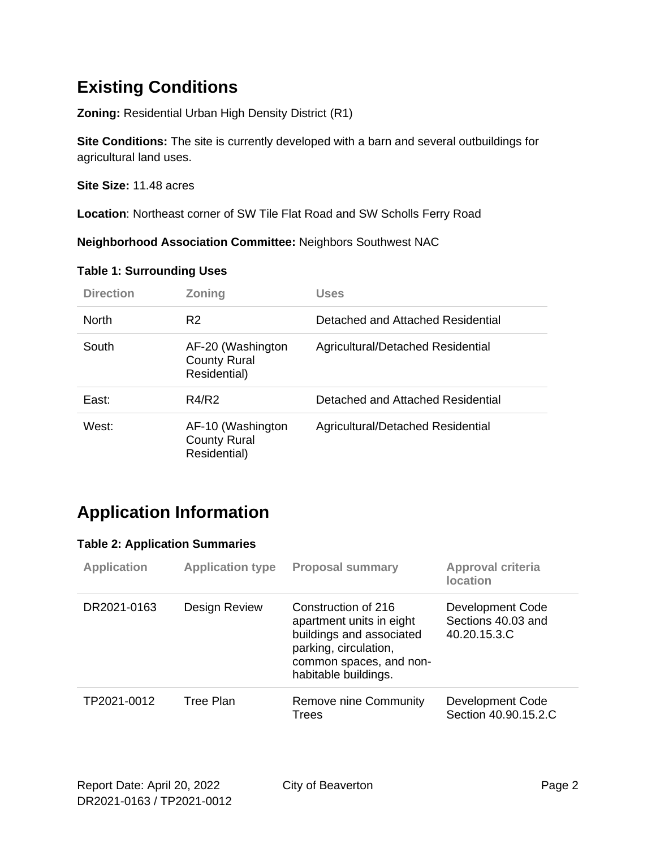## **Existing Conditions**

**Zoning:** Residential Urban High Density District (R1)

**Site Conditions:** The site is currently developed with a barn and several outbuildings for agricultural land uses.

**Site Size:** 11.48 acres

**Location**: Northeast corner of SW Tile Flat Road and SW Scholls Ferry Road

**Neighborhood Association Committee:** Neighbors Southwest NAC

#### **Table 1: Surrounding Uses**

| <b>Direction</b> | Zoning                                                   | <b>Uses</b>                       |
|------------------|----------------------------------------------------------|-----------------------------------|
| <b>North</b>     | R <sub>2</sub>                                           | Detached and Attached Residential |
| South            | AF-20 (Washington<br><b>County Rural</b><br>Residential) | Agricultural/Detached Residential |
| East:            | R4/R2                                                    | Detached and Attached Residential |
| West:            | AF-10 (Washington<br><b>County Rural</b><br>Residential) | Agricultural/Detached Residential |

## **Application Information**

#### **Table 2: Application Summaries**

| <b>Application</b> | <b>Application type</b> | <b>Proposal summary</b>                                                                                                                                 | <b>Approval criteria</b><br><b>location</b>            |
|--------------------|-------------------------|---------------------------------------------------------------------------------------------------------------------------------------------------------|--------------------------------------------------------|
| DR2021-0163        | <b>Design Review</b>    | Construction of 216<br>apartment units in eight<br>buildings and associated<br>parking, circulation,<br>common spaces, and non-<br>habitable buildings. | Development Code<br>Sections 40.03 and<br>40.20.15.3.C |
| TP2021-0012        | Tree Plan               | Remove nine Community<br>Trees                                                                                                                          | Development Code<br>Section 40.90.15.2.C               |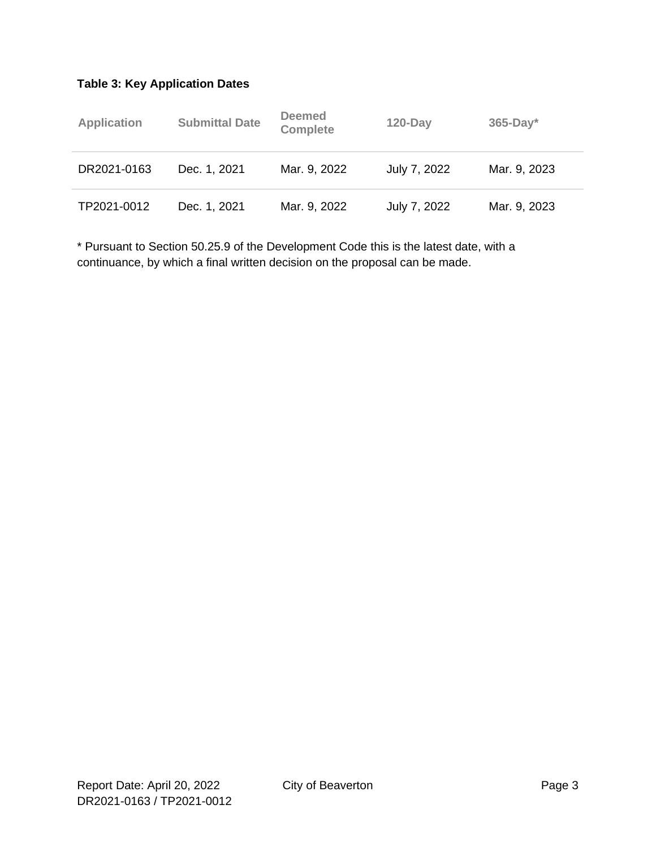#### **Table 3: Key Application Dates**

| <b>Application</b> | <b>Submittal Date</b> | <b>Deemed</b><br><b>Complete</b> | $120$ -Day   | $365$ -Day*  |
|--------------------|-----------------------|----------------------------------|--------------|--------------|
| DR2021-0163        | Dec. 1, 2021          | Mar. 9, 2022                     | July 7, 2022 | Mar. 9, 2023 |
| TP2021-0012        | Dec. 1, 2021          | Mar. 9, 2022                     | July 7, 2022 | Mar. 9, 2023 |

\* Pursuant to Section 50.25.9 of the Development Code this is the latest date, with a continuance, by which a final written decision on the proposal can be made.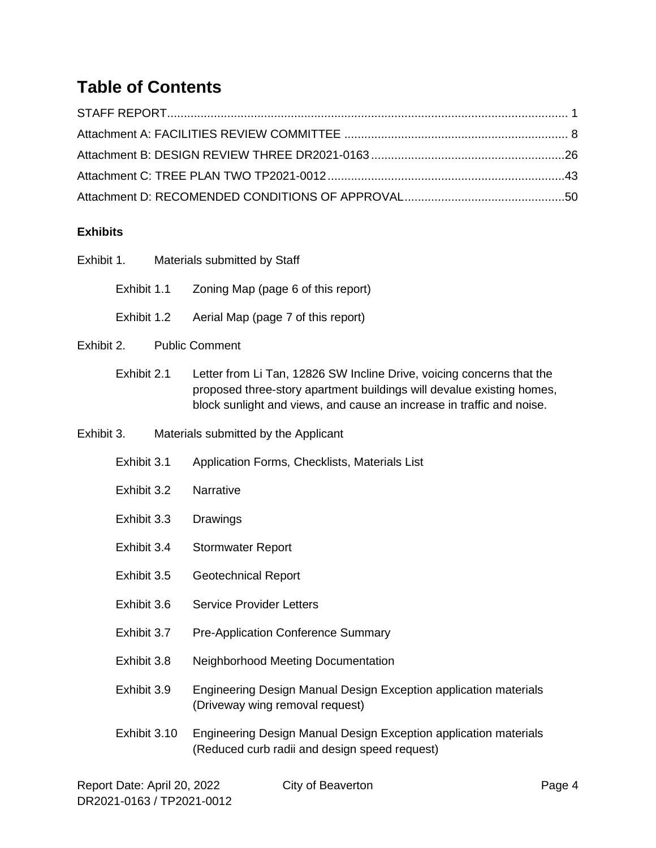## **Table of Contents**

#### **Exhibits**

| Exhibit 1. |              | Materials submitted by Staff                                                                                                                                                                                            |
|------------|--------------|-------------------------------------------------------------------------------------------------------------------------------------------------------------------------------------------------------------------------|
|            | Exhibit 1.1  | Zoning Map (page 6 of this report)                                                                                                                                                                                      |
|            | Exhibit 1.2  | Aerial Map (page 7 of this report)                                                                                                                                                                                      |
| Exhibit 2. |              | <b>Public Comment</b>                                                                                                                                                                                                   |
|            | Exhibit 2.1  | Letter from Li Tan, 12826 SW Incline Drive, voicing concerns that the<br>proposed three-story apartment buildings will devalue existing homes,<br>block sunlight and views, and cause an increase in traffic and noise. |
| Exhibit 3. |              | Materials submitted by the Applicant                                                                                                                                                                                    |
|            | Exhibit 3.1  | Application Forms, Checklists, Materials List                                                                                                                                                                           |
|            | Exhibit 3.2  | Narrative                                                                                                                                                                                                               |
|            | Exhibit 3.3  | Drawings                                                                                                                                                                                                                |
|            | Exhibit 3.4  | <b>Stormwater Report</b>                                                                                                                                                                                                |
|            | Exhibit 3.5  | <b>Geotechnical Report</b>                                                                                                                                                                                              |
|            | Exhibit 3.6  | <b>Service Provider Letters</b>                                                                                                                                                                                         |
|            | Exhibit 3.7  | <b>Pre-Application Conference Summary</b>                                                                                                                                                                               |
|            | Exhibit 3.8  | Neighborhood Meeting Documentation                                                                                                                                                                                      |
|            | Exhibit 3.9  | Engineering Design Manual Design Exception application materials<br>(Driveway wing removal request)                                                                                                                     |
|            | Exhibit 3.10 | Engineering Design Manual Design Exception application materials<br>(Reduced curb radii and design speed request)                                                                                                       |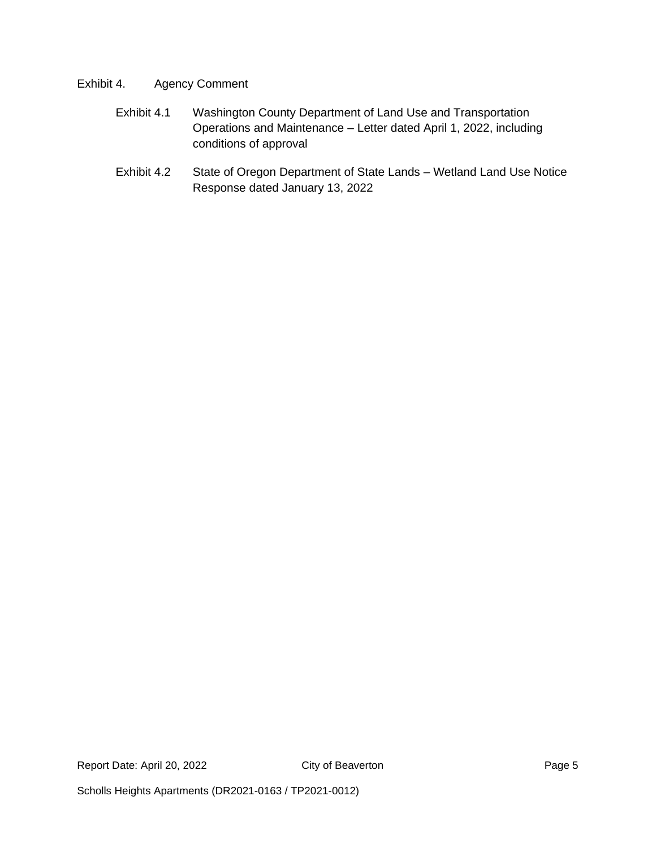#### Exhibit 4. Agency Comment

- Exhibit 4.1 Washington County Department of Land Use and Transportation Operations and Maintenance – Letter dated April 1, 2022, including conditions of approval
- Exhibit 4.2 State of Oregon Department of State Lands Wetland Land Use Notice Response dated January 13, 2022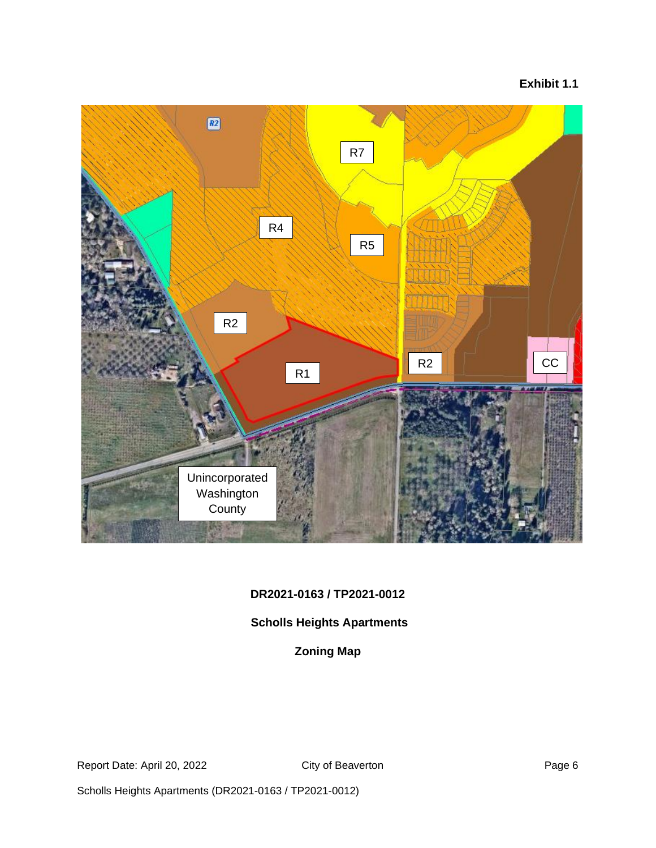#### **Exhibit 1.1**



#### **DR2021-0163 / TP2021-0012**

#### **Scholls Heights Apartments**

#### **Zoning Map**

Report Date: April 20, 2022 City of Beaverton City of Beaverton

Scholls Heights Apartments (DR2021-0163 / TP2021-0012)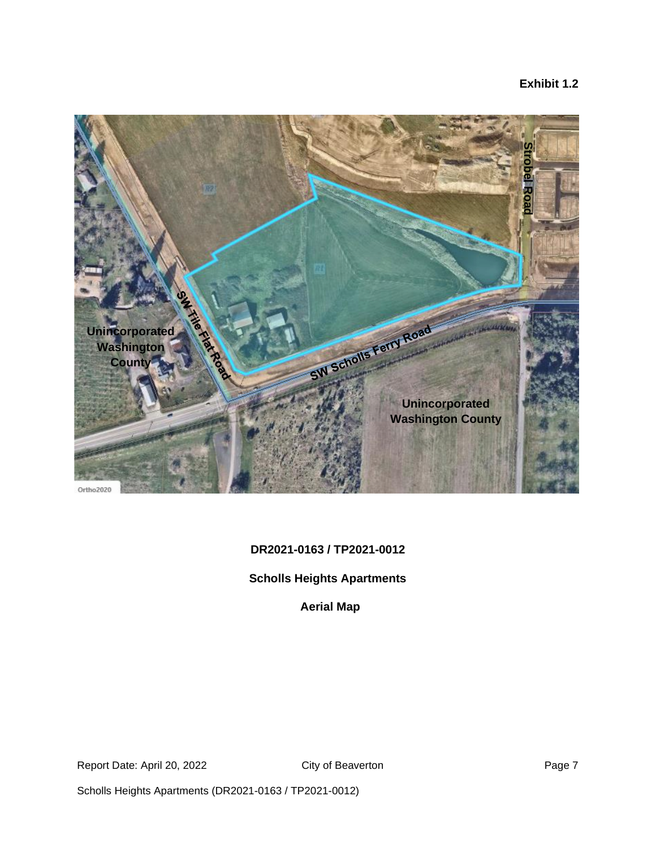#### **Exhibit 1.2**



#### **DR2021-0163 / TP2021-0012**

#### **Scholls Heights Apartments**

**Aerial Map**

Report Date: April 20, 2022 City of Beaverton Communication Page 7

Scholls Heights Apartments (DR2021-0163 / TP2021-0012)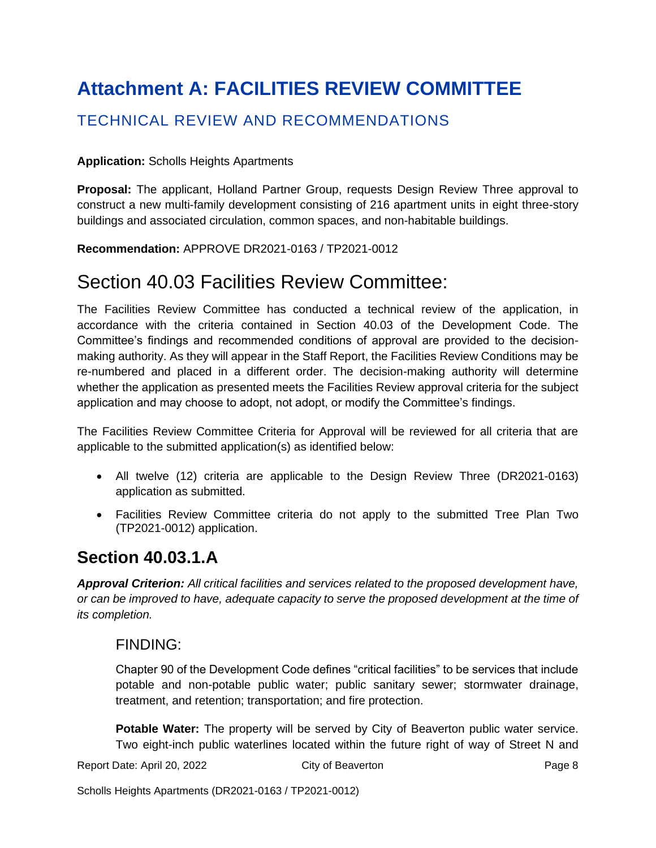# <span id="page-7-0"></span>**Attachment A: FACILITIES REVIEW COMMITTEE**

### TECHNICAL REVIEW AND RECOMMENDATIONS

#### **Application:** Scholls Heights Apartments

**Proposal:** The applicant, Holland Partner Group, requests Design Review Three approval to construct a new multi-family development consisting of 216 apartment units in eight three-story buildings and associated circulation, common spaces, and non-habitable buildings.

**Recommendation:** APPROVE DR2021-0163 / TP2021-0012

## Section 40.03 Facilities Review Committee:

The Facilities Review Committee has conducted a technical review of the application, in accordance with the criteria contained in Section 40.03 of the Development Code. The Committee's findings and recommended conditions of approval are provided to the decisionmaking authority. As they will appear in the Staff Report, the Facilities Review Conditions may be re-numbered and placed in a different order. The decision-making authority will determine whether the application as presented meets the Facilities Review approval criteria for the subject application and may choose to adopt, not adopt, or modify the Committee's findings.

The Facilities Review Committee Criteria for Approval will be reviewed for all criteria that are applicable to the submitted application(s) as identified below:

- All twelve (12) criteria are applicable to the Design Review Three (DR2021-0163) application as submitted.
- Facilities Review Committee criteria do not apply to the submitted Tree Plan Two (TP2021-0012) application.

### **Section 40.03.1.A**

*Approval Criterion: All critical facilities and services related to the proposed development have, or can be improved to have, adequate capacity to serve the proposed development at the time of its completion.*

#### FINDING:

Chapter 90 of the Development Code defines "critical facilities" to be services that include potable and non-potable public water; public sanitary sewer; stormwater drainage, treatment, and retention; transportation; and fire protection.

**Potable Water:** The property will be served by City of Beaverton public water service. Two eight-inch public waterlines located within the future right of way of Street N and

Report Date: April 20, 2022 City of Beaverton Communication Page 8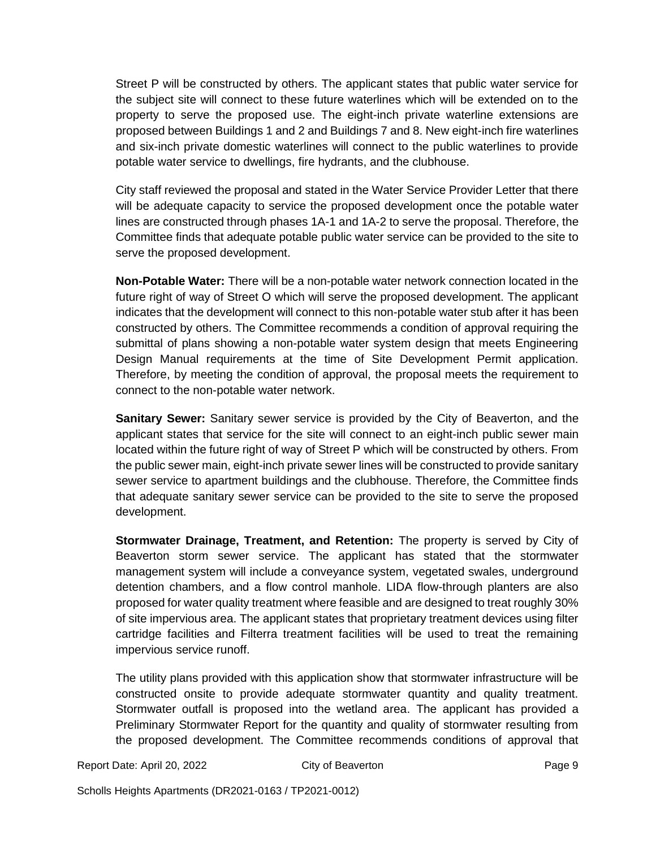Street P will be constructed by others. The applicant states that public water service for the subject site will connect to these future waterlines which will be extended on to the property to serve the proposed use. The eight-inch private waterline extensions are proposed between Buildings 1 and 2 and Buildings 7 and 8. New eight-inch fire waterlines and six-inch private domestic waterlines will connect to the public waterlines to provide potable water service to dwellings, fire hydrants, and the clubhouse.

City staff reviewed the proposal and stated in the Water Service Provider Letter that there will be adequate capacity to service the proposed development once the potable water lines are constructed through phases 1A-1 and 1A-2 to serve the proposal. Therefore, the Committee finds that adequate potable public water service can be provided to the site to serve the proposed development.

**Non-Potable Water:** There will be a non-potable water network connection located in the future right of way of Street O which will serve the proposed development. The applicant indicates that the development will connect to this non-potable water stub after it has been constructed by others. The Committee recommends a condition of approval requiring the submittal of plans showing a non-potable water system design that meets Engineering Design Manual requirements at the time of Site Development Permit application. Therefore, by meeting the condition of approval, the proposal meets the requirement to connect to the non-potable water network.

**Sanitary Sewer:** Sanitary sewer service is provided by the City of Beaverton, and the applicant states that service for the site will connect to an eight-inch public sewer main located within the future right of way of Street P which will be constructed by others. From the public sewer main, eight-inch private sewer lines will be constructed to provide sanitary sewer service to apartment buildings and the clubhouse. Therefore, the Committee finds that adequate sanitary sewer service can be provided to the site to serve the proposed development.

**Stormwater Drainage, Treatment, and Retention:** The property is served by City of Beaverton storm sewer service. The applicant has stated that the stormwater management system will include a conveyance system, vegetated swales, underground detention chambers, and a flow control manhole. LIDA flow-through planters are also proposed for water quality treatment where feasible and are designed to treat roughly 30% of site impervious area. The applicant states that proprietary treatment devices using filter cartridge facilities and Filterra treatment facilities will be used to treat the remaining impervious service runoff.

The utility plans provided with this application show that stormwater infrastructure will be constructed onsite to provide adequate stormwater quantity and quality treatment. Stormwater outfall is proposed into the wetland area. The applicant has provided a Preliminary Stormwater Report for the quantity and quality of stormwater resulting from the proposed development. The Committee recommends conditions of approval that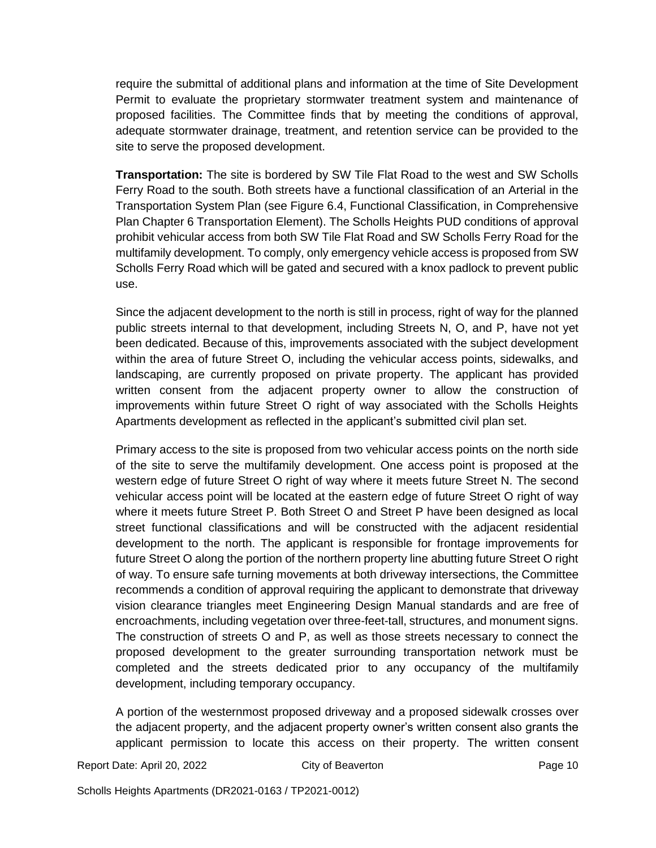require the submittal of additional plans and information at the time of Site Development Permit to evaluate the proprietary stormwater treatment system and maintenance of proposed facilities. The Committee finds that by meeting the conditions of approval, adequate stormwater drainage, treatment, and retention service can be provided to the site to serve the proposed development.

**Transportation:** The site is bordered by SW Tile Flat Road to the west and SW Scholls Ferry Road to the south. Both streets have a functional classification of an Arterial in the Transportation System Plan (see Figure 6.4, Functional Classification, in Comprehensive Plan Chapter 6 Transportation Element). The Scholls Heights PUD conditions of approval prohibit vehicular access from both SW Tile Flat Road and SW Scholls Ferry Road for the multifamily development. To comply, only emergency vehicle access is proposed from SW Scholls Ferry Road which will be gated and secured with a knox padlock to prevent public use.

Since the adjacent development to the north is still in process, right of way for the planned public streets internal to that development, including Streets N, O, and P, have not yet been dedicated. Because of this, improvements associated with the subject development within the area of future Street O, including the vehicular access points, sidewalks, and landscaping, are currently proposed on private property. The applicant has provided written consent from the adjacent property owner to allow the construction of improvements within future Street O right of way associated with the Scholls Heights Apartments development as reflected in the applicant's submitted civil plan set.

Primary access to the site is proposed from two vehicular access points on the north side of the site to serve the multifamily development. One access point is proposed at the western edge of future Street O right of way where it meets future Street N. The second vehicular access point will be located at the eastern edge of future Street O right of way where it meets future Street P. Both Street O and Street P have been designed as local street functional classifications and will be constructed with the adjacent residential development to the north. The applicant is responsible for frontage improvements for future Street O along the portion of the northern property line abutting future Street O right of way. To ensure safe turning movements at both driveway intersections, the Committee recommends a condition of approval requiring the applicant to demonstrate that driveway vision clearance triangles meet Engineering Design Manual standards and are free of encroachments, including vegetation over three-feet-tall, structures, and monument signs. The construction of streets O and P, as well as those streets necessary to connect the proposed development to the greater surrounding transportation network must be completed and the streets dedicated prior to any occupancy of the multifamily development, including temporary occupancy.

A portion of the westernmost proposed driveway and a proposed sidewalk crosses over the adjacent property, and the adjacent property owner's written consent also grants the applicant permission to locate this access on their property. The written consent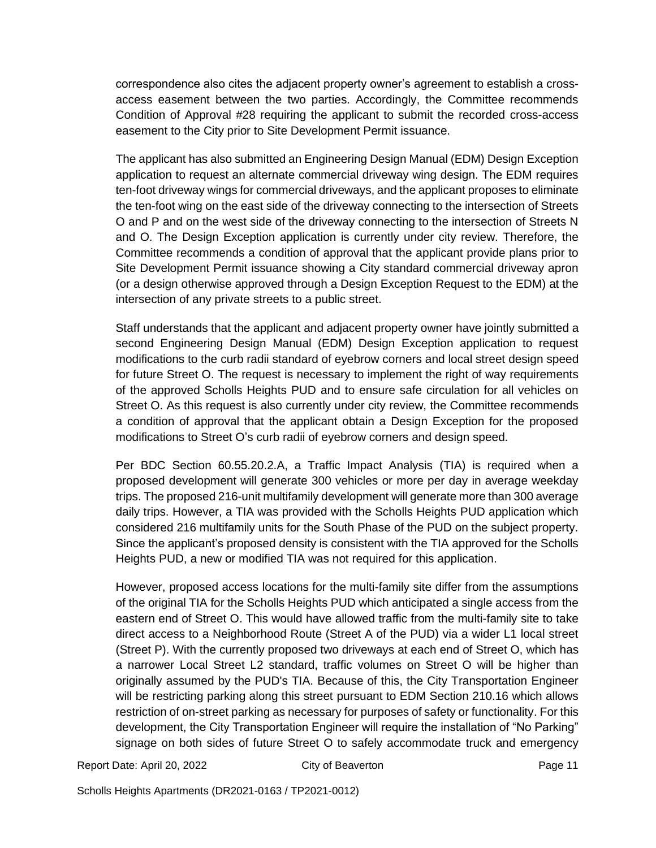correspondence also cites the adjacent property owner's agreement to establish a crossaccess easement between the two parties. Accordingly, the Committee recommends Condition of Approval #28 requiring the applicant to submit the recorded cross-access easement to the City prior to Site Development Permit issuance.

The applicant has also submitted an Engineering Design Manual (EDM) Design Exception application to request an alternate commercial driveway wing design. The EDM requires ten-foot driveway wings for commercial driveways, and the applicant proposes to eliminate the ten-foot wing on the east side of the driveway connecting to the intersection of Streets O and P and on the west side of the driveway connecting to the intersection of Streets N and O. The Design Exception application is currently under city review. Therefore, the Committee recommends a condition of approval that the applicant provide plans prior to Site Development Permit issuance showing a City standard commercial driveway apron (or a design otherwise approved through a Design Exception Request to the EDM) at the intersection of any private streets to a public street.

Staff understands that the applicant and adjacent property owner have jointly submitted a second Engineering Design Manual (EDM) Design Exception application to request modifications to the curb radii standard of eyebrow corners and local street design speed for future Street O. The request is necessary to implement the right of way requirements of the approved Scholls Heights PUD and to ensure safe circulation for all vehicles on Street O. As this request is also currently under city review, the Committee recommends a condition of approval that the applicant obtain a Design Exception for the proposed modifications to Street O's curb radii of eyebrow corners and design speed.

Per BDC Section 60.55.20.2.A, a Traffic Impact Analysis (TIA) is required when a proposed development will generate 300 vehicles or more per day in average weekday trips. The proposed 216-unit multifamily development will generate more than 300 average daily trips. However, a TIA was provided with the Scholls Heights PUD application which considered 216 multifamily units for the South Phase of the PUD on the subject property. Since the applicant's proposed density is consistent with the TIA approved for the Scholls Heights PUD, a new or modified TIA was not required for this application.

However, proposed access locations for the multi-family site differ from the assumptions of the original TIA for the Scholls Heights PUD which anticipated a single access from the eastern end of Street O. This would have allowed traffic from the multi-family site to take direct access to a Neighborhood Route (Street A of the PUD) via a wider L1 local street (Street P). With the currently proposed two driveways at each end of Street O, which has a narrower Local Street L2 standard, traffic volumes on Street O will be higher than originally assumed by the PUD's TIA. Because of this, the City Transportation Engineer will be restricting parking along this street pursuant to EDM Section 210.16 which allows restriction of on-street parking as necessary for purposes of safety or functionality. For this development, the City Transportation Engineer will require the installation of "No Parking" signage on both sides of future Street O to safely accommodate truck and emergency

Report Date: April 20, 2022 City of Beaverton Cases and Page 11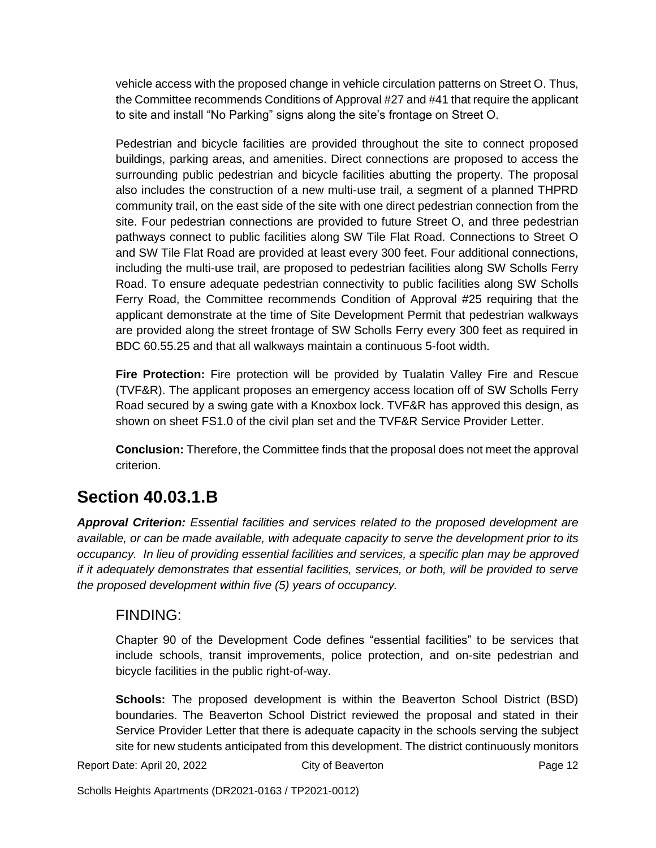vehicle access with the proposed change in vehicle circulation patterns on Street O. Thus, the Committee recommends Conditions of Approval #27 and #41 that require the applicant to site and install "No Parking" signs along the site's frontage on Street O.

Pedestrian and bicycle facilities are provided throughout the site to connect proposed buildings, parking areas, and amenities. Direct connections are proposed to access the surrounding public pedestrian and bicycle facilities abutting the property. The proposal also includes the construction of a new multi-use trail, a segment of a planned THPRD community trail, on the east side of the site with one direct pedestrian connection from the site. Four pedestrian connections are provided to future Street O, and three pedestrian pathways connect to public facilities along SW Tile Flat Road. Connections to Street O and SW Tile Flat Road are provided at least every 300 feet. Four additional connections, including the multi-use trail, are proposed to pedestrian facilities along SW Scholls Ferry Road. To ensure adequate pedestrian connectivity to public facilities along SW Scholls Ferry Road, the Committee recommends Condition of Approval #25 requiring that the applicant demonstrate at the time of Site Development Permit that pedestrian walkways are provided along the street frontage of SW Scholls Ferry every 300 feet as required in BDC 60.55.25 and that all walkways maintain a continuous 5-foot width.

**Fire Protection:** Fire protection will be provided by Tualatin Valley Fire and Rescue (TVF&R). The applicant proposes an emergency access location off of SW Scholls Ferry Road secured by a swing gate with a Knoxbox lock. TVF&R has approved this design, as shown on sheet FS1.0 of the civil plan set and the TVF&R Service Provider Letter.

**Conclusion:** Therefore, the Committee finds that the proposal does not meet the approval criterion.

## **Section 40.03.1.B**

*Approval Criterion: Essential facilities and services related to the proposed development are available, or can be made available, with adequate capacity to serve the development prior to its occupancy. In lieu of providing essential facilities and services, a specific plan may be approved if it adequately demonstrates that essential facilities, services, or both, will be provided to serve the proposed development within five (5) years of occupancy.*

### FINDING:

Chapter 90 of the Development Code defines "essential facilities" to be services that include schools, transit improvements, police protection, and on-site pedestrian and bicycle facilities in the public right-of-way.

**Schools:** The proposed development is within the Beaverton School District (BSD) boundaries. The Beaverton School District reviewed the proposal and stated in their Service Provider Letter that there is adequate capacity in the schools serving the subject site for new students anticipated from this development. The district continuously monitors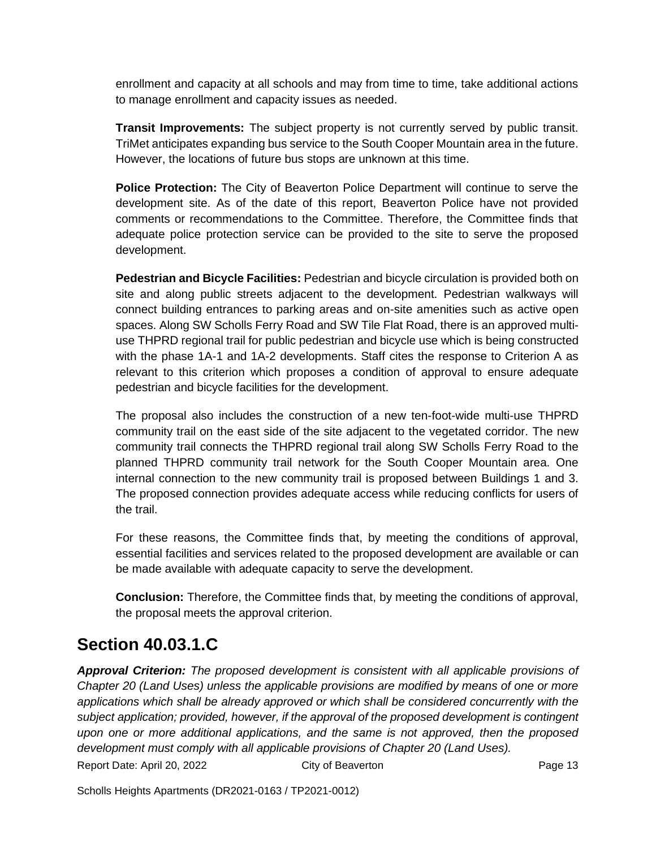enrollment and capacity at all schools and may from time to time, take additional actions to manage enrollment and capacity issues as needed.

**Transit Improvements:** The subject property is not currently served by public transit. TriMet anticipates expanding bus service to the South Cooper Mountain area in the future. However, the locations of future bus stops are unknown at this time.

**Police Protection:** The City of Beaverton Police Department will continue to serve the development site. As of the date of this report, Beaverton Police have not provided comments or recommendations to the Committee. Therefore, the Committee finds that adequate police protection service can be provided to the site to serve the proposed development.

**Pedestrian and Bicycle Facilities:** Pedestrian and bicycle circulation is provided both on site and along public streets adjacent to the development. Pedestrian walkways will connect building entrances to parking areas and on-site amenities such as active open spaces. Along SW Scholls Ferry Road and SW Tile Flat Road, there is an approved multiuse THPRD regional trail for public pedestrian and bicycle use which is being constructed with the phase 1A-1 and 1A-2 developments. Staff cites the response to Criterion A as relevant to this criterion which proposes a condition of approval to ensure adequate pedestrian and bicycle facilities for the development.

The proposal also includes the construction of a new ten-foot-wide multi-use THPRD community trail on the east side of the site adjacent to the vegetated corridor. The new community trail connects the THPRD regional trail along SW Scholls Ferry Road to the planned THPRD community trail network for the South Cooper Mountain area. One internal connection to the new community trail is proposed between Buildings 1 and 3. The proposed connection provides adequate access while reducing conflicts for users of the trail.

For these reasons, the Committee finds that, by meeting the conditions of approval, essential facilities and services related to the proposed development are available or can be made available with adequate capacity to serve the development.

**Conclusion:** Therefore, the Committee finds that, by meeting the conditions of approval, the proposal meets the approval criterion.

## **Section 40.03.1.C**

*Approval Criterion: The proposed development is consistent with all applicable provisions of Chapter 20 (Land Uses) unless the applicable provisions are modified by means of one or more applications which shall be already approved or which shall be considered concurrently with the subject application; provided, however, if the approval of the proposed development is contingent upon one or more additional applications, and the same is not approved, then the proposed development must comply with all applicable provisions of Chapter 20 (Land Uses).*

Report Date: April 20, 2022 City of Beaverton Cassetton Page 13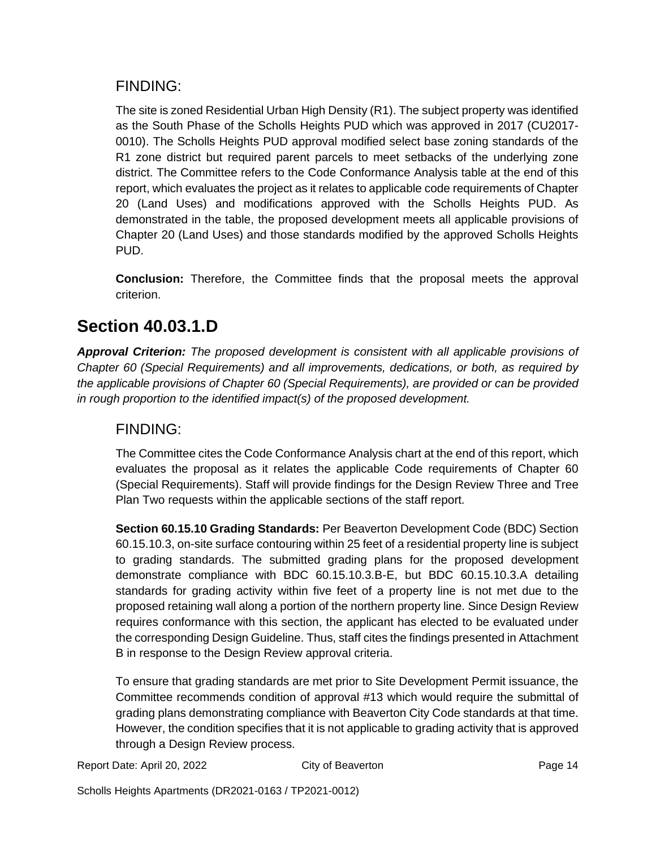#### FINDING:

The site is zoned Residential Urban High Density (R1). The subject property was identified as the South Phase of the Scholls Heights PUD which was approved in 2017 (CU2017- 0010). The Scholls Heights PUD approval modified select base zoning standards of the R1 zone district but required parent parcels to meet setbacks of the underlying zone district. The Committee refers to the Code Conformance Analysis table at the end of this report, which evaluates the project as it relates to applicable code requirements of Chapter 20 (Land Uses) and modifications approved with the Scholls Heights PUD. As demonstrated in the table, the proposed development meets all applicable provisions of Chapter 20 (Land Uses) and those standards modified by the approved Scholls Heights PUD.

**Conclusion:** Therefore, the Committee finds that the proposal meets the approval criterion.

## **Section 40.03.1.D**

*Approval Criterion: The proposed development is consistent with all applicable provisions of Chapter 60 (Special Requirements) and all improvements, dedications, or both, as required by the applicable provisions of Chapter 60 (Special Requirements), are provided or can be provided in rough proportion to the identified impact(s) of the proposed development.*

### FINDING:

The Committee cites the Code Conformance Analysis chart at the end of this report, which evaluates the proposal as it relates the applicable Code requirements of Chapter 60 (Special Requirements). Staff will provide findings for the Design Review Three and Tree Plan Two requests within the applicable sections of the staff report.

**Section 60.15.10 Grading Standards:** Per Beaverton Development Code (BDC) Section 60.15.10.3, on-site surface contouring within 25 feet of a residential property line is subject to grading standards. The submitted grading plans for the proposed development demonstrate compliance with BDC 60.15.10.3.B-E, but BDC 60.15.10.3.A detailing standards for grading activity within five feet of a property line is not met due to the proposed retaining wall along a portion of the northern property line. Since Design Review requires conformance with this section, the applicant has elected to be evaluated under the corresponding Design Guideline. Thus, staff cites the findings presented in Attachment B in response to the Design Review approval criteria.

To ensure that grading standards are met prior to Site Development Permit issuance, the Committee recommends condition of approval #13 which would require the submittal of grading plans demonstrating compliance with Beaverton City Code standards at that time. However, the condition specifies that it is not applicable to grading activity that is approved through a Design Review process.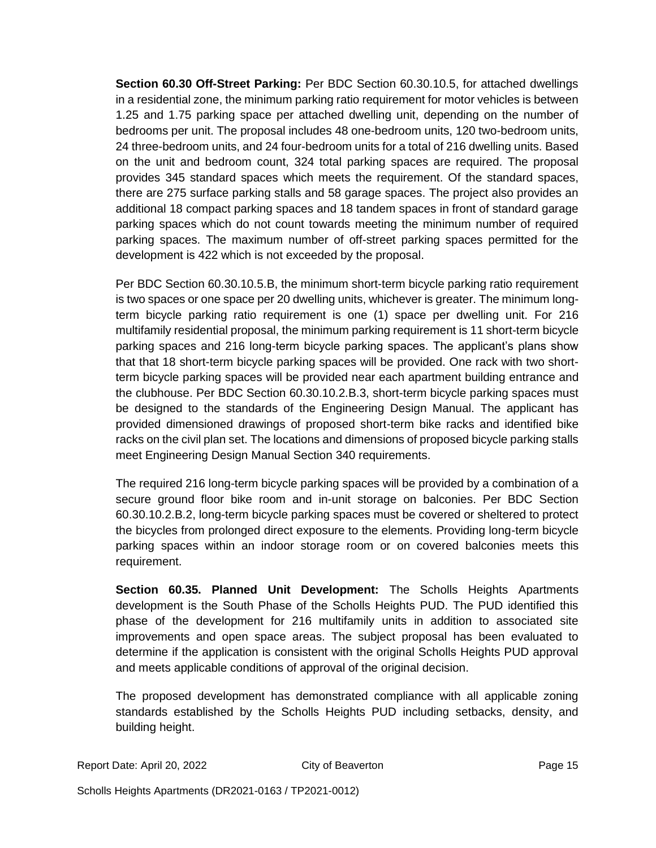**Section 60.30 Off-Street Parking:** Per BDC Section 60.30.10.5, for attached dwellings in a residential zone, the minimum parking ratio requirement for motor vehicles is between 1.25 and 1.75 parking space per attached dwelling unit, depending on the number of bedrooms per unit. The proposal includes 48 one-bedroom units, 120 two-bedroom units, 24 three-bedroom units, and 24 four-bedroom units for a total of 216 dwelling units. Based on the unit and bedroom count, 324 total parking spaces are required. The proposal provides 345 standard spaces which meets the requirement. Of the standard spaces, there are 275 surface parking stalls and 58 garage spaces. The project also provides an additional 18 compact parking spaces and 18 tandem spaces in front of standard garage parking spaces which do not count towards meeting the minimum number of required parking spaces. The maximum number of off-street parking spaces permitted for the development is 422 which is not exceeded by the proposal.

Per BDC Section 60.30.10.5.B, the minimum short-term bicycle parking ratio requirement is two spaces or one space per 20 dwelling units, whichever is greater. The minimum longterm bicycle parking ratio requirement is one (1) space per dwelling unit. For 216 multifamily residential proposal, the minimum parking requirement is 11 short-term bicycle parking spaces and 216 long-term bicycle parking spaces. The applicant's plans show that that 18 short-term bicycle parking spaces will be provided. One rack with two shortterm bicycle parking spaces will be provided near each apartment building entrance and the clubhouse. Per BDC Section 60.30.10.2.B.3, short-term bicycle parking spaces must be designed to the standards of the Engineering Design Manual. The applicant has provided dimensioned drawings of proposed short-term bike racks and identified bike racks on the civil plan set. The locations and dimensions of proposed bicycle parking stalls meet Engineering Design Manual Section 340 requirements.

The required 216 long-term bicycle parking spaces will be provided by a combination of a secure ground floor bike room and in-unit storage on balconies. Per BDC Section 60.30.10.2.B.2, long-term bicycle parking spaces must be covered or sheltered to protect the bicycles from prolonged direct exposure to the elements. Providing long-term bicycle parking spaces within an indoor storage room or on covered balconies meets this requirement.

**Section 60.35. Planned Unit Development:** The Scholls Heights Apartments development is the South Phase of the Scholls Heights PUD. The PUD identified this phase of the development for 216 multifamily units in addition to associated site improvements and open space areas. The subject proposal has been evaluated to determine if the application is consistent with the original Scholls Heights PUD approval and meets applicable conditions of approval of the original decision.

The proposed development has demonstrated compliance with all applicable zoning standards established by the Scholls Heights PUD including setbacks, density, and building height.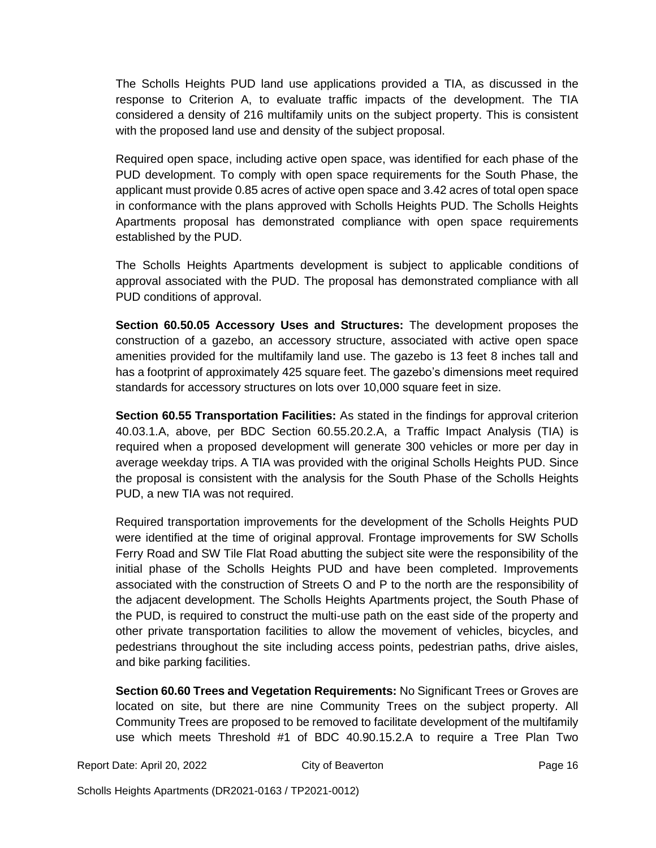The Scholls Heights PUD land use applications provided a TIA, as discussed in the response to Criterion A, to evaluate traffic impacts of the development. The TIA considered a density of 216 multifamily units on the subject property. This is consistent with the proposed land use and density of the subject proposal.

Required open space, including active open space, was identified for each phase of the PUD development. To comply with open space requirements for the South Phase, the applicant must provide 0.85 acres of active open space and 3.42 acres of total open space in conformance with the plans approved with Scholls Heights PUD. The Scholls Heights Apartments proposal has demonstrated compliance with open space requirements established by the PUD.

The Scholls Heights Apartments development is subject to applicable conditions of approval associated with the PUD. The proposal has demonstrated compliance with all PUD conditions of approval.

**Section 60.50.05 Accessory Uses and Structures:** The development proposes the construction of a gazebo, an accessory structure, associated with active open space amenities provided for the multifamily land use. The gazebo is 13 feet 8 inches tall and has a footprint of approximately 425 square feet. The gazebo's dimensions meet required standards for accessory structures on lots over 10,000 square feet in size.

**Section 60.55 Transportation Facilities:** As stated in the findings for approval criterion 40.03.1.A, above, per BDC Section 60.55.20.2.A, a Traffic Impact Analysis (TIA) is required when a proposed development will generate 300 vehicles or more per day in average weekday trips. A TIA was provided with the original Scholls Heights PUD. Since the proposal is consistent with the analysis for the South Phase of the Scholls Heights PUD, a new TIA was not required.

Required transportation improvements for the development of the Scholls Heights PUD were identified at the time of original approval. Frontage improvements for SW Scholls Ferry Road and SW Tile Flat Road abutting the subject site were the responsibility of the initial phase of the Scholls Heights PUD and have been completed. Improvements associated with the construction of Streets O and P to the north are the responsibility of the adjacent development. The Scholls Heights Apartments project, the South Phase of the PUD, is required to construct the multi-use path on the east side of the property and other private transportation facilities to allow the movement of vehicles, bicycles, and pedestrians throughout the site including access points, pedestrian paths, drive aisles, and bike parking facilities.

**Section 60.60 Trees and Vegetation Requirements:** No Significant Trees or Groves are located on site, but there are nine Community Trees on the subject property. All Community Trees are proposed to be removed to facilitate development of the multifamily use which meets Threshold #1 of BDC 40.90.15.2.A to require a Tree Plan Two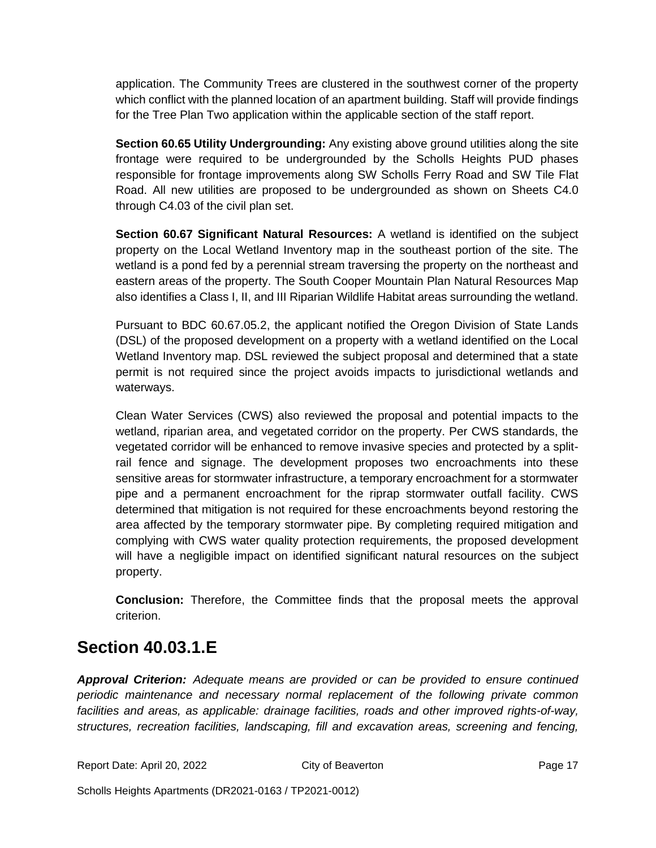application. The Community Trees are clustered in the southwest corner of the property which conflict with the planned location of an apartment building. Staff will provide findings for the Tree Plan Two application within the applicable section of the staff report.

**Section 60.65 Utility Undergrounding:** Any existing above ground utilities along the site frontage were required to be undergrounded by the Scholls Heights PUD phases responsible for frontage improvements along SW Scholls Ferry Road and SW Tile Flat Road. All new utilities are proposed to be undergrounded as shown on Sheets C4.0 through C4.03 of the civil plan set.

**Section 60.67 Significant Natural Resources:** A wetland is identified on the subject property on the Local Wetland Inventory map in the southeast portion of the site. The wetland is a pond fed by a perennial stream traversing the property on the northeast and eastern areas of the property. The South Cooper Mountain Plan Natural Resources Map also identifies a Class I, II, and III Riparian Wildlife Habitat areas surrounding the wetland.

Pursuant to BDC 60.67.05.2, the applicant notified the Oregon Division of State Lands (DSL) of the proposed development on a property with a wetland identified on the Local Wetland Inventory map. DSL reviewed the subject proposal and determined that a state permit is not required since the project avoids impacts to jurisdictional wetlands and waterways.

Clean Water Services (CWS) also reviewed the proposal and potential impacts to the wetland, riparian area, and vegetated corridor on the property. Per CWS standards, the vegetated corridor will be enhanced to remove invasive species and protected by a splitrail fence and signage. The development proposes two encroachments into these sensitive areas for stormwater infrastructure, a temporary encroachment for a stormwater pipe and a permanent encroachment for the riprap stormwater outfall facility. CWS determined that mitigation is not required for these encroachments beyond restoring the area affected by the temporary stormwater pipe. By completing required mitigation and complying with CWS water quality protection requirements, the proposed development will have a negligible impact on identified significant natural resources on the subject property.

**Conclusion:** Therefore, the Committee finds that the proposal meets the approval criterion.

### **Section 40.03.1.E**

*Approval Criterion: Adequate means are provided or can be provided to ensure continued periodic maintenance and necessary normal replacement of the following private common facilities and areas, as applicable: drainage facilities, roads and other improved rights-of-way, structures, recreation facilities, landscaping, fill and excavation areas, screening and fencing,* 

Report Date: April 20, 2022 City of Beaverton Cases and Page 17

Scholls Heights Apartments (DR2021-0163 / TP2021-0012)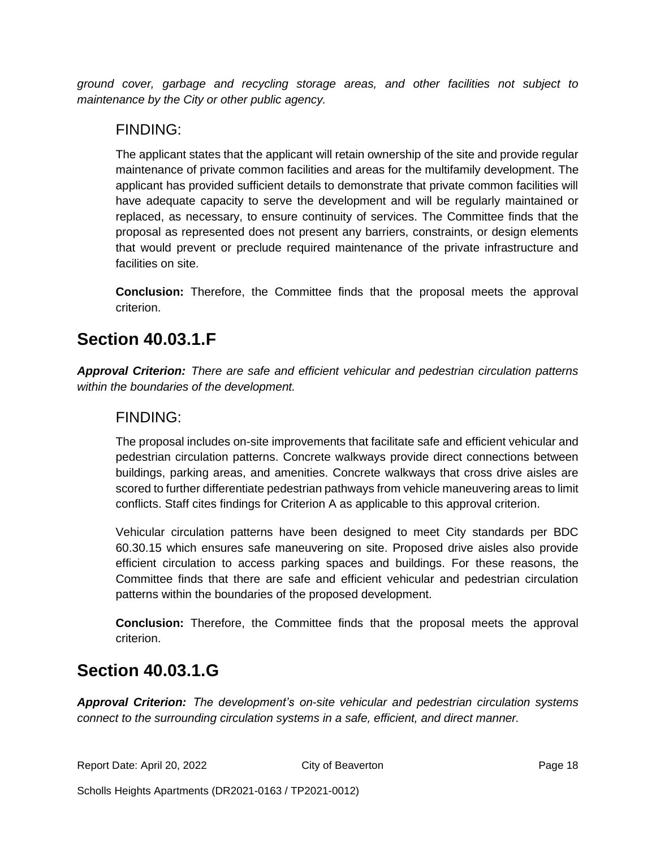*ground cover, garbage and recycling storage areas, and other facilities not subject to maintenance by the City or other public agency.*

#### FINDING:

The applicant states that the applicant will retain ownership of the site and provide regular maintenance of private common facilities and areas for the multifamily development. The applicant has provided sufficient details to demonstrate that private common facilities will have adequate capacity to serve the development and will be regularly maintained or replaced, as necessary, to ensure continuity of services. The Committee finds that the proposal as represented does not present any barriers, constraints, or design elements that would prevent or preclude required maintenance of the private infrastructure and facilities on site.

**Conclusion:** Therefore, the Committee finds that the proposal meets the approval criterion.

### **Section 40.03.1.F**

*Approval Criterion: There are safe and efficient vehicular and pedestrian circulation patterns within the boundaries of the development.*

#### FINDING:

The proposal includes on-site improvements that facilitate safe and efficient vehicular and pedestrian circulation patterns. Concrete walkways provide direct connections between buildings, parking areas, and amenities. Concrete walkways that cross drive aisles are scored to further differentiate pedestrian pathways from vehicle maneuvering areas to limit conflicts. Staff cites findings for Criterion A as applicable to this approval criterion.

Vehicular circulation patterns have been designed to meet City standards per BDC 60.30.15 which ensures safe maneuvering on site. Proposed drive aisles also provide efficient circulation to access parking spaces and buildings. For these reasons, the Committee finds that there are safe and efficient vehicular and pedestrian circulation patterns within the boundaries of the proposed development.

**Conclusion:** Therefore, the Committee finds that the proposal meets the approval criterion.

### **Section 40.03.1.G**

*Approval Criterion: The development's on-site vehicular and pedestrian circulation systems connect to the surrounding circulation systems in a safe, efficient, and direct manner.*

Report Date: April 20, 2022 City of Beaverton Cases and Page 18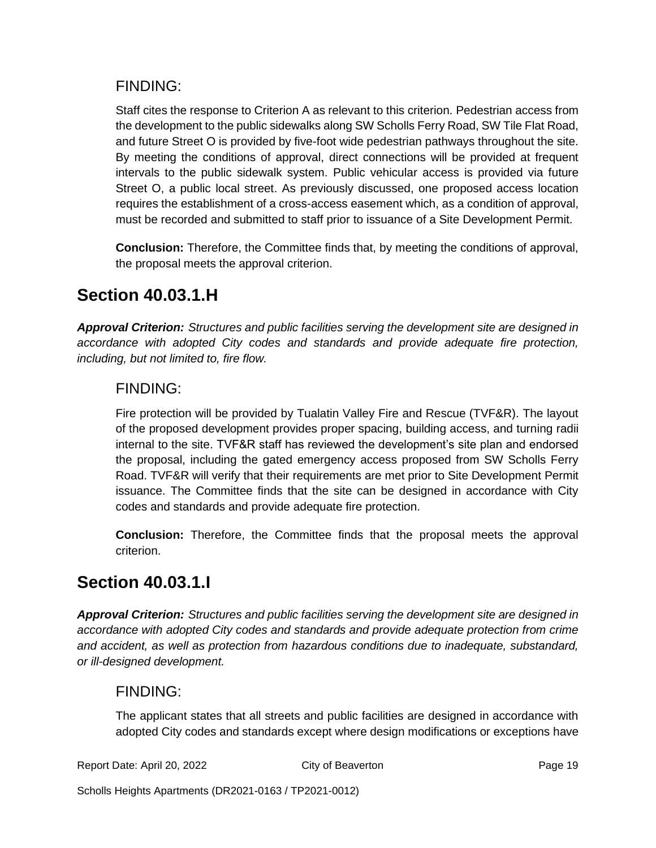#### FINDING:

Staff cites the response to Criterion A as relevant to this criterion. Pedestrian access from the development to the public sidewalks along SW Scholls Ferry Road, SW Tile Flat Road, and future Street O is provided by five-foot wide pedestrian pathways throughout the site. By meeting the conditions of approval, direct connections will be provided at frequent intervals to the public sidewalk system. Public vehicular access is provided via future Street O, a public local street. As previously discussed, one proposed access location requires the establishment of a cross-access easement which, as a condition of approval, must be recorded and submitted to staff prior to issuance of a Site Development Permit.

**Conclusion:** Therefore, the Committee finds that, by meeting the conditions of approval, the proposal meets the approval criterion.

### **Section 40.03.1.H**

*Approval Criterion: Structures and public facilities serving the development site are designed in accordance with adopted City codes and standards and provide adequate fire protection, including, but not limited to, fire flow.*

### FINDING:

Fire protection will be provided by Tualatin Valley Fire and Rescue (TVF&R). The layout of the proposed development provides proper spacing, building access, and turning radii internal to the site. TVF&R staff has reviewed the development's site plan and endorsed the proposal, including the gated emergency access proposed from SW Scholls Ferry Road. TVF&R will verify that their requirements are met prior to Site Development Permit issuance. The Committee finds that the site can be designed in accordance with City codes and standards and provide adequate fire protection.

**Conclusion:** Therefore, the Committee finds that the proposal meets the approval criterion.

### **Section 40.03.1.I**

*Approval Criterion: Structures and public facilities serving the development site are designed in accordance with adopted City codes and standards and provide adequate protection from crime and accident, as well as protection from hazardous conditions due to inadequate, substandard, or ill-designed development.*

#### FINDING:

The applicant states that all streets and public facilities are designed in accordance with adopted City codes and standards except where design modifications or exceptions have

Report Date: April 20, 2022 City of Beaverton Communication Page 19

Scholls Heights Apartments (DR2021-0163 / TP2021-0012)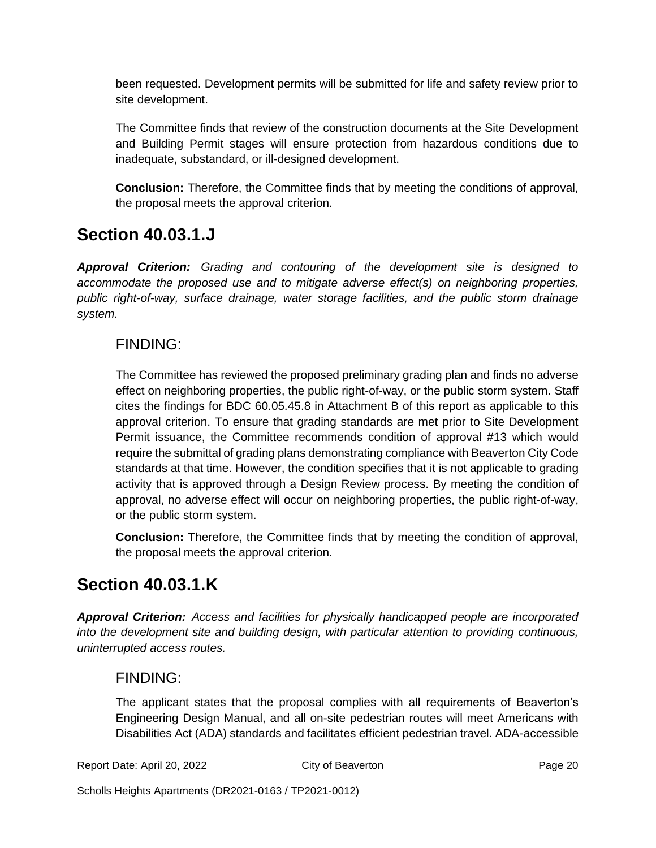been requested. Development permits will be submitted for life and safety review prior to site development.

The Committee finds that review of the construction documents at the Site Development and Building Permit stages will ensure protection from hazardous conditions due to inadequate, substandard, or ill-designed development.

**Conclusion:** Therefore, the Committee finds that by meeting the conditions of approval, the proposal meets the approval criterion.

### **Section 40.03.1.J**

*Approval Criterion: Grading and contouring of the development site is designed to accommodate the proposed use and to mitigate adverse effect(s) on neighboring properties, public right-of-way, surface drainage, water storage facilities, and the public storm drainage system.*

### FINDING:

The Committee has reviewed the proposed preliminary grading plan and finds no adverse effect on neighboring properties, the public right-of-way, or the public storm system. Staff cites the findings for BDC 60.05.45.8 in Attachment B of this report as applicable to this approval criterion. To ensure that grading standards are met prior to Site Development Permit issuance, the Committee recommends condition of approval #13 which would require the submittal of grading plans demonstrating compliance with Beaverton City Code standards at that time. However, the condition specifies that it is not applicable to grading activity that is approved through a Design Review process. By meeting the condition of approval, no adverse effect will occur on neighboring properties, the public right-of-way, or the public storm system.

**Conclusion:** Therefore, the Committee finds that by meeting the condition of approval, the proposal meets the approval criterion.

### **Section 40.03.1.K**

*Approval Criterion: Access and facilities for physically handicapped people are incorporated into the development site and building design, with particular attention to providing continuous, uninterrupted access routes.*

### FINDING:

The applicant states that the proposal complies with all requirements of Beaverton's Engineering Design Manual, and all on-site pedestrian routes will meet Americans with Disabilities Act (ADA) standards and facilitates efficient pedestrian travel. ADA-accessible

Report Date: April 20, 2022 City of Beaverton Cases and Page 20

Scholls Heights Apartments (DR2021-0163 / TP2021-0012)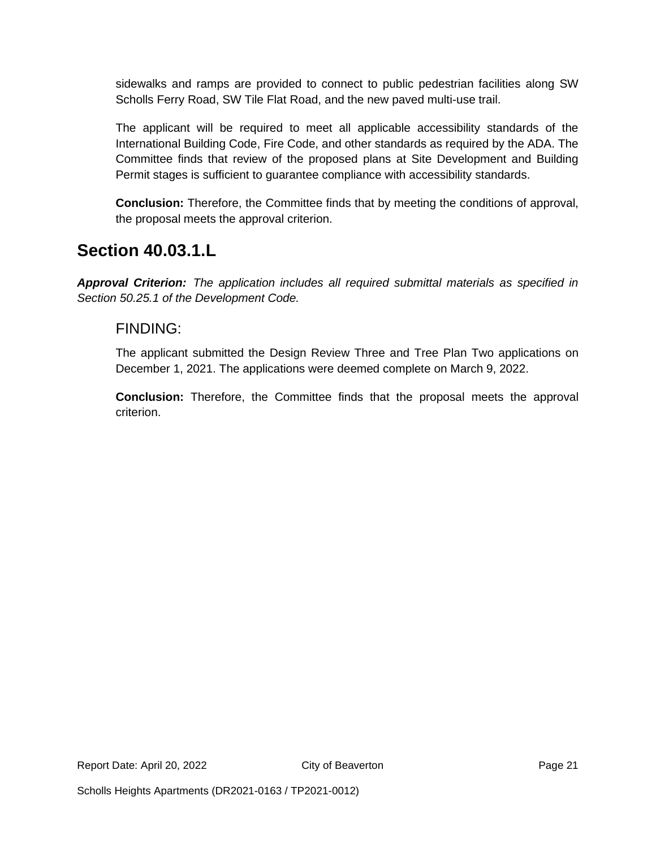sidewalks and ramps are provided to connect to public pedestrian facilities along SW Scholls Ferry Road, SW Tile Flat Road, and the new paved multi-use trail.

The applicant will be required to meet all applicable accessibility standards of the International Building Code, Fire Code, and other standards as required by the ADA. The Committee finds that review of the proposed plans at Site Development and Building Permit stages is sufficient to guarantee compliance with accessibility standards.

**Conclusion:** Therefore, the Committee finds that by meeting the conditions of approval, the proposal meets the approval criterion.

### **Section 40.03.1.L**

*Approval Criterion: The application includes all required submittal materials as specified in Section 50.25.1 of the Development Code.*

#### FINDING:

The applicant submitted the Design Review Three and Tree Plan Two applications on December 1, 2021. The applications were deemed complete on March 9, 2022.

**Conclusion:** Therefore, the Committee finds that the proposal meets the approval criterion.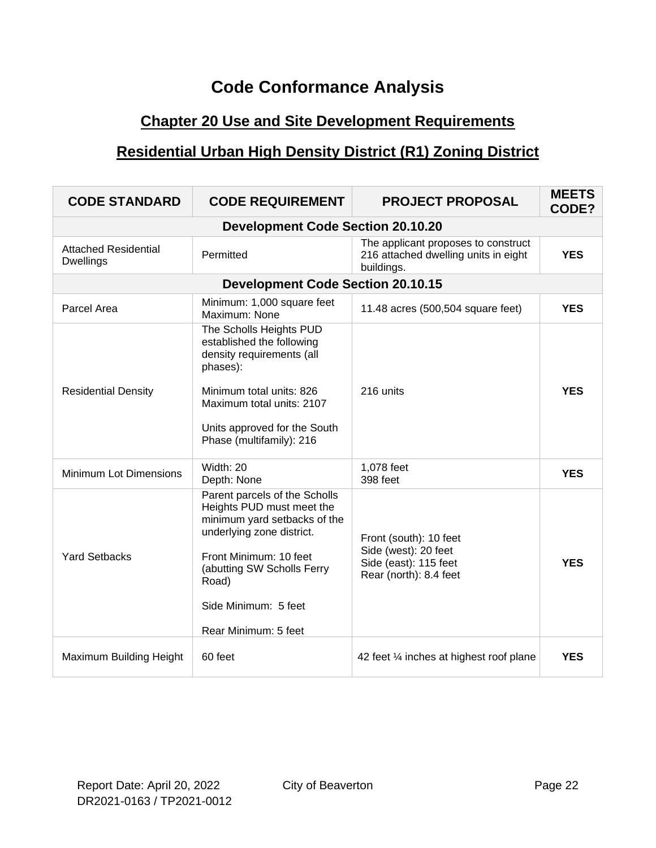## **Code Conformance Analysis**

### **Chapter 20 Use and Site Development Requirements**

### **Residential Urban High Density District (R1) Zoning District**

| <b>CODE STANDARD</b>                            | <b>CODE REQUIREMENT</b>                                                                                                                                                                                                                  | <b>PROJECT PROPOSAL</b>                                                                           | <b>MEETS</b><br>CODE? |
|-------------------------------------------------|------------------------------------------------------------------------------------------------------------------------------------------------------------------------------------------------------------------------------------------|---------------------------------------------------------------------------------------------------|-----------------------|
|                                                 | <b>Development Code Section 20.10.20</b>                                                                                                                                                                                                 |                                                                                                   |                       |
| <b>Attached Residential</b><br><b>Dwellings</b> | Permitted                                                                                                                                                                                                                                | The applicant proposes to construct<br>216 attached dwelling units in eight<br>buildings.         | <b>YES</b>            |
|                                                 | <b>Development Code Section 20.10.15</b>                                                                                                                                                                                                 |                                                                                                   |                       |
| Parcel Area                                     | Minimum: 1,000 square feet<br>Maximum: None                                                                                                                                                                                              | 11.48 acres (500,504 square feet)                                                                 | <b>YES</b>            |
| <b>Residential Density</b>                      | The Scholls Heights PUD<br>established the following<br>density requirements (all<br>phases):<br>Minimum total units: 826<br>Maximum total units: 2107<br>Units approved for the South<br>Phase (multifamily): 216                       | 216 units                                                                                         | <b>YES</b>            |
| <b>Minimum Lot Dimensions</b>                   | Width: 20<br>Depth: None                                                                                                                                                                                                                 | 1,078 feet<br>398 feet                                                                            | <b>YES</b>            |
| <b>Yard Setbacks</b>                            | Parent parcels of the Scholls<br>Heights PUD must meet the<br>minimum yard setbacks of the<br>underlying zone district.<br>Front Minimum: 10 feet<br>(abutting SW Scholls Ferry<br>Road)<br>Side Minimum: 5 feet<br>Rear Minimum: 5 feet | Front (south): 10 feet<br>Side (west): 20 feet<br>Side (east): 115 feet<br>Rear (north): 8.4 feet | <b>YES</b>            |
| Maximum Building Height                         | 60 feet                                                                                                                                                                                                                                  | 42 feet 1/4 inches at highest roof plane                                                          | <b>YES</b>            |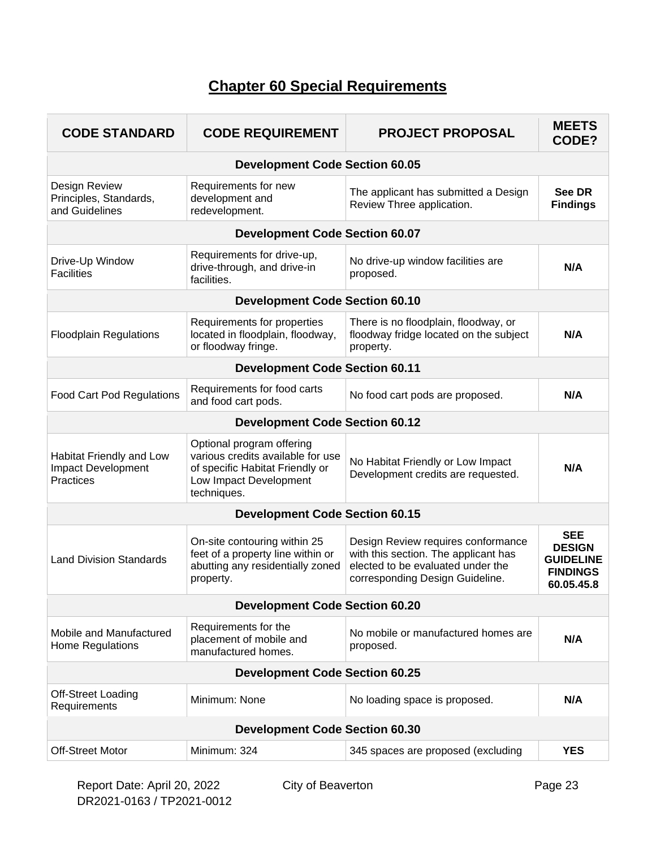### **Chapter 60 Special Requirements**

| <b>CODE STANDARD</b>                                               | <b>CODE REQUIREMENT</b>                                                                                                                    | <b>PROJECT PROPOSAL</b>                                                                                                                            | <b>MEETS</b><br>CODE?                                                            |  |
|--------------------------------------------------------------------|--------------------------------------------------------------------------------------------------------------------------------------------|----------------------------------------------------------------------------------------------------------------------------------------------------|----------------------------------------------------------------------------------|--|
|                                                                    | <b>Development Code Section 60.05</b>                                                                                                      |                                                                                                                                                    |                                                                                  |  |
| Design Review<br>Principles, Standards,<br>and Guidelines          | Requirements for new<br>development and<br>redevelopment.                                                                                  | The applicant has submitted a Design<br>Review Three application.                                                                                  | See DR<br><b>Findings</b>                                                        |  |
|                                                                    | <b>Development Code Section 60.07</b>                                                                                                      |                                                                                                                                                    |                                                                                  |  |
| Drive-Up Window<br><b>Facilities</b>                               | Requirements for drive-up,<br>drive-through, and drive-in<br>facilities.                                                                   | No drive-up window facilities are<br>proposed.                                                                                                     | N/A                                                                              |  |
|                                                                    | <b>Development Code Section 60.10</b>                                                                                                      |                                                                                                                                                    |                                                                                  |  |
| <b>Floodplain Regulations</b>                                      | Requirements for properties<br>located in floodplain, floodway,<br>or floodway fringe.                                                     | There is no floodplain, floodway, or<br>floodway fridge located on the subject<br>property.                                                        | N/A                                                                              |  |
|                                                                    | <b>Development Code Section 60.11</b>                                                                                                      |                                                                                                                                                    |                                                                                  |  |
| <b>Food Cart Pod Regulations</b>                                   | Requirements for food carts<br>and food cart pods.                                                                                         | No food cart pods are proposed.                                                                                                                    | N/A                                                                              |  |
|                                                                    | <b>Development Code Section 60.12</b>                                                                                                      |                                                                                                                                                    |                                                                                  |  |
| Habitat Friendly and Low<br><b>Impact Development</b><br>Practices | Optional program offering<br>various credits available for use<br>of specific Habitat Friendly or<br>Low Impact Development<br>techniques. | No Habitat Friendly or Low Impact<br>Development credits are requested.                                                                            | N/A                                                                              |  |
|                                                                    | <b>Development Code Section 60.15</b>                                                                                                      |                                                                                                                                                    |                                                                                  |  |
| <b>Land Division Standards</b>                                     | On-site contouring within 25<br>feet of a property line within or<br>abutting any residentially zoned<br>property.                         | Design Review requires conformance<br>with this section. The applicant has<br>elected to be evaluated under the<br>corresponding Design Guideline. | <b>SEE</b><br><b>DESIGN</b><br><b>GUIDELINE</b><br><b>FINDINGS</b><br>60.05.45.8 |  |
| <b>Development Code Section 60.20</b>                              |                                                                                                                                            |                                                                                                                                                    |                                                                                  |  |
| Mobile and Manufactured<br>Home Regulations                        | Requirements for the<br>placement of mobile and<br>manufactured homes.                                                                     | No mobile or manufactured homes are<br>proposed.                                                                                                   | N/A                                                                              |  |
|                                                                    | <b>Development Code Section 60.25</b>                                                                                                      |                                                                                                                                                    |                                                                                  |  |
| Off-Street Loading<br>Requirements                                 | Minimum: None                                                                                                                              | No loading space is proposed.                                                                                                                      | N/A                                                                              |  |
|                                                                    | <b>Development Code Section 60.30</b>                                                                                                      |                                                                                                                                                    |                                                                                  |  |
| <b>Off-Street Motor</b>                                            | Minimum: 324                                                                                                                               | 345 spaces are proposed (excluding                                                                                                                 | <b>YES</b>                                                                       |  |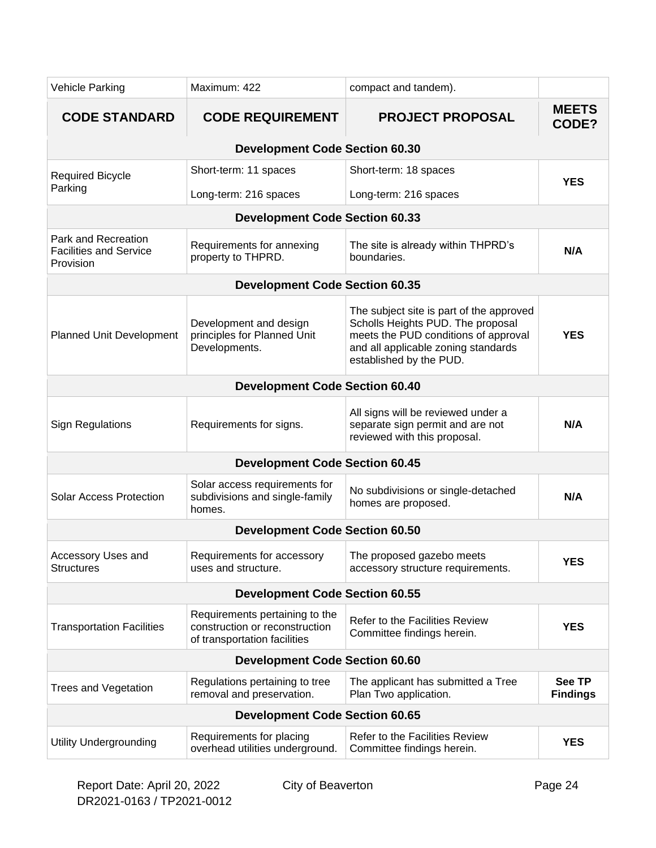| Vehicle Parking                                                   | Maximum: 422                                                                                     | compact and tandem).                                                                                                                                                                    |                                  |  |
|-------------------------------------------------------------------|--------------------------------------------------------------------------------------------------|-----------------------------------------------------------------------------------------------------------------------------------------------------------------------------------------|----------------------------------|--|
| <b>CODE STANDARD</b>                                              | <b>CODE REQUIREMENT</b>                                                                          | <b>PROJECT PROPOSAL</b>                                                                                                                                                                 | <b>MEETS</b><br>CODE?            |  |
|                                                                   | <b>Development Code Section 60.30</b>                                                            |                                                                                                                                                                                         |                                  |  |
| <b>Required Bicycle</b><br>Parking                                | Short-term: 11 spaces                                                                            | Short-term: 18 spaces                                                                                                                                                                   | <b>YES</b>                       |  |
|                                                                   | Long-term: 216 spaces                                                                            | Long-term: 216 spaces                                                                                                                                                                   |                                  |  |
|                                                                   | <b>Development Code Section 60.33</b>                                                            |                                                                                                                                                                                         |                                  |  |
| Park and Recreation<br><b>Facilities and Service</b><br>Provision | Requirements for annexing<br>property to THPRD.                                                  | The site is already within THPRD's<br>boundaries.                                                                                                                                       | N/A                              |  |
|                                                                   | <b>Development Code Section 60.35</b>                                                            |                                                                                                                                                                                         |                                  |  |
| Planned Unit Development                                          | Development and design<br>principles for Planned Unit<br>Developments.                           | The subject site is part of the approved<br>Scholls Heights PUD. The proposal<br>meets the PUD conditions of approval<br>and all applicable zoning standards<br>established by the PUD. | <b>YES</b>                       |  |
|                                                                   | <b>Development Code Section 60.40</b>                                                            |                                                                                                                                                                                         |                                  |  |
| <b>Sign Regulations</b>                                           | Requirements for signs.                                                                          | All signs will be reviewed under a<br>separate sign permit and are not<br>reviewed with this proposal.                                                                                  | N/A                              |  |
|                                                                   | <b>Development Code Section 60.45</b>                                                            |                                                                                                                                                                                         |                                  |  |
| <b>Solar Access Protection</b>                                    | Solar access requirements for<br>subdivisions and single-family<br>homes.                        | No subdivisions or single-detached<br>homes are proposed.                                                                                                                               | N/A                              |  |
|                                                                   | <b>Development Code Section 60.50</b>                                                            |                                                                                                                                                                                         |                                  |  |
| Accessory Uses and<br><b>Structures</b>                           | Requirements for accessory<br>uses and structure.                                                | The proposed gazebo meets<br>accessory structure requirements.                                                                                                                          | <b>YES</b>                       |  |
|                                                                   | <b>Development Code Section 60.55</b>                                                            |                                                                                                                                                                                         |                                  |  |
| <b>Transportation Facilities</b>                                  | Requirements pertaining to the<br>construction or reconstruction<br>of transportation facilities | Refer to the Facilities Review<br>Committee findings herein.                                                                                                                            | <b>YES</b>                       |  |
|                                                                   | <b>Development Code Section 60.60</b>                                                            |                                                                                                                                                                                         |                                  |  |
| <b>Trees and Vegetation</b>                                       | Regulations pertaining to tree<br>removal and preservation.                                      | The applicant has submitted a Tree<br>Plan Two application.                                                                                                                             | <b>See TP</b><br><b>Findings</b> |  |
|                                                                   | <b>Development Code Section 60.65</b>                                                            |                                                                                                                                                                                         |                                  |  |
| <b>Utility Undergrounding</b>                                     | Requirements for placing<br>overhead utilities underground.                                      | Refer to the Facilities Review<br>Committee findings herein.                                                                                                                            | <b>YES</b>                       |  |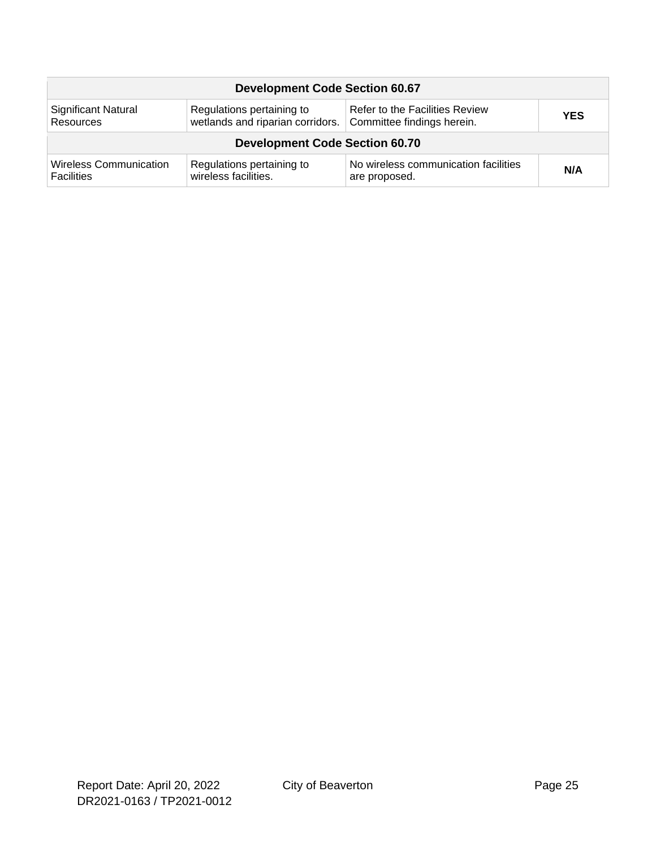| <b>Development Code Section 60.67</b> |                                  |                                       |            |  |
|---------------------------------------|----------------------------------|---------------------------------------|------------|--|
| Significant Natural                   | Regulations pertaining to        | <b>Refer to the Facilities Review</b> | <b>YES</b> |  |
| Resources                             | wetlands and riparian corridors. | Committee findings herein.            |            |  |
| <b>Development Code Section 60.70</b> |                                  |                                       |            |  |
| <b>Wireless Communication</b>         | Regulations pertaining to        | No wireless communication facilities  | N/A        |  |
| <b>Facilities</b>                     | wireless facilities.             | are proposed.                         |            |  |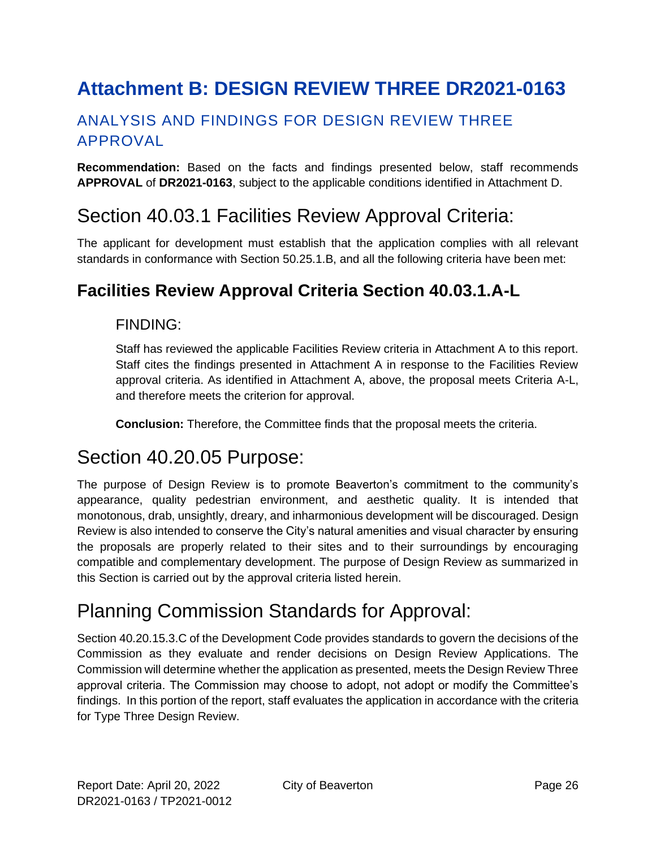# <span id="page-25-0"></span>**Attachment B: DESIGN REVIEW THREE DR2021-0163**

### ANALYSIS AND FINDINGS FOR DESIGN REVIEW THREE APPROVAL

**Recommendation:** Based on the facts and findings presented below, staff recommends **APPROVAL** of **DR2021-0163**, subject to the applicable conditions identified in Attachment D.

## Section 40.03.1 Facilities Review Approval Criteria:

The applicant for development must establish that the application complies with all relevant standards in conformance with Section 50.25.1.B, and all the following criteria have been met:

### **Facilities Review Approval Criteria Section 40.03.1.A-L**

#### FINDING:

Staff has reviewed the applicable Facilities Review criteria in Attachment A to this report. Staff cites the findings presented in Attachment A in response to the Facilities Review approval criteria. As identified in Attachment A, above, the proposal meets Criteria A-L, and therefore meets the criterion for approval.

**Conclusion:** Therefore, the Committee finds that the proposal meets the criteria.

## Section 40.20.05 Purpose:

The purpose of Design Review is to promote Beaverton's commitment to the community's appearance, quality pedestrian environment, and aesthetic quality. It is intended that monotonous, drab, unsightly, dreary, and inharmonious development will be discouraged. Design Review is also intended to conserve the City's natural amenities and visual character by ensuring the proposals are properly related to their sites and to their surroundings by encouraging compatible and complementary development. The purpose of Design Review as summarized in this Section is carried out by the approval criteria listed herein.

# Planning Commission Standards for Approval:

Section 40.20.15.3.C of the Development Code provides standards to govern the decisions of the Commission as they evaluate and render decisions on Design Review Applications. The Commission will determine whether the application as presented, meets the Design Review Three approval criteria. The Commission may choose to adopt, not adopt or modify the Committee's findings. In this portion of the report, staff evaluates the application in accordance with the criteria for Type Three Design Review.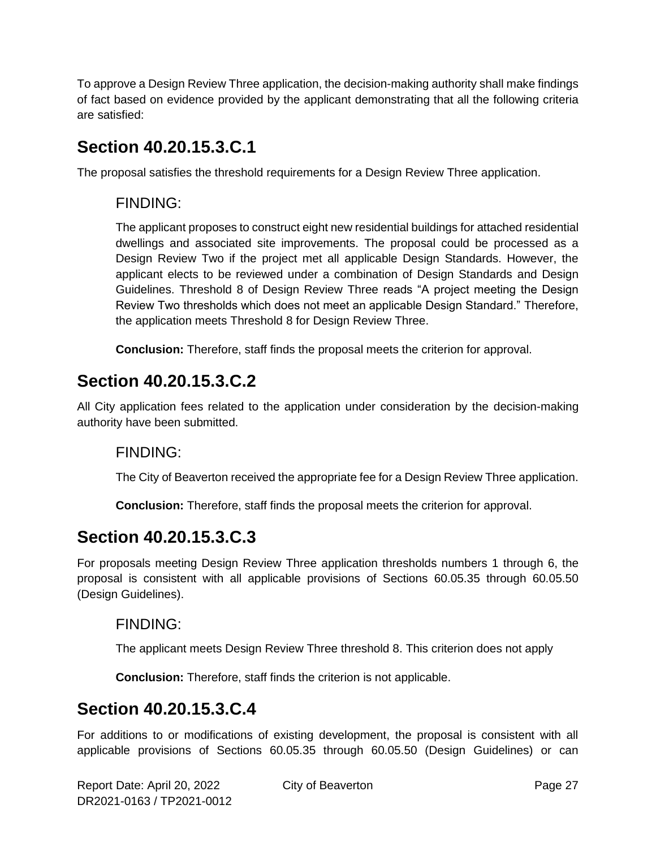To approve a Design Review Three application, the decision-making authority shall make findings of fact based on evidence provided by the applicant demonstrating that all the following criteria are satisfied:

### **Section 40.20.15.3.C.1**

The proposal satisfies the threshold requirements for a Design Review Three application.

### FINDING:

The applicant proposes to construct eight new residential buildings for attached residential dwellings and associated site improvements. The proposal could be processed as a Design Review Two if the project met all applicable Design Standards. However, the applicant elects to be reviewed under a combination of Design Standards and Design Guidelines. Threshold 8 of Design Review Three reads "A project meeting the Design Review Two thresholds which does not meet an applicable Design Standard." Therefore, the application meets Threshold 8 for Design Review Three.

**Conclusion:** Therefore, staff finds the proposal meets the criterion for approval.

## **Section 40.20.15.3.C.2**

All City application fees related to the application under consideration by the decision-making authority have been submitted.

### FINDING:

The City of Beaverton received the appropriate fee for a Design Review Three application.

**Conclusion:** Therefore, staff finds the proposal meets the criterion for approval.

### **Section 40.20.15.3.C.3**

For proposals meeting Design Review Three application thresholds numbers 1 through 6, the proposal is consistent with all applicable provisions of Sections 60.05.35 through 60.05.50 (Design Guidelines).

#### FINDING:

The applicant meets Design Review Three threshold 8. This criterion does not apply

**Conclusion:** Therefore, staff finds the criterion is not applicable.

### **Section 40.20.15.3.C.4**

For additions to or modifications of existing development, the proposal is consistent with all applicable provisions of Sections 60.05.35 through 60.05.50 (Design Guidelines) or can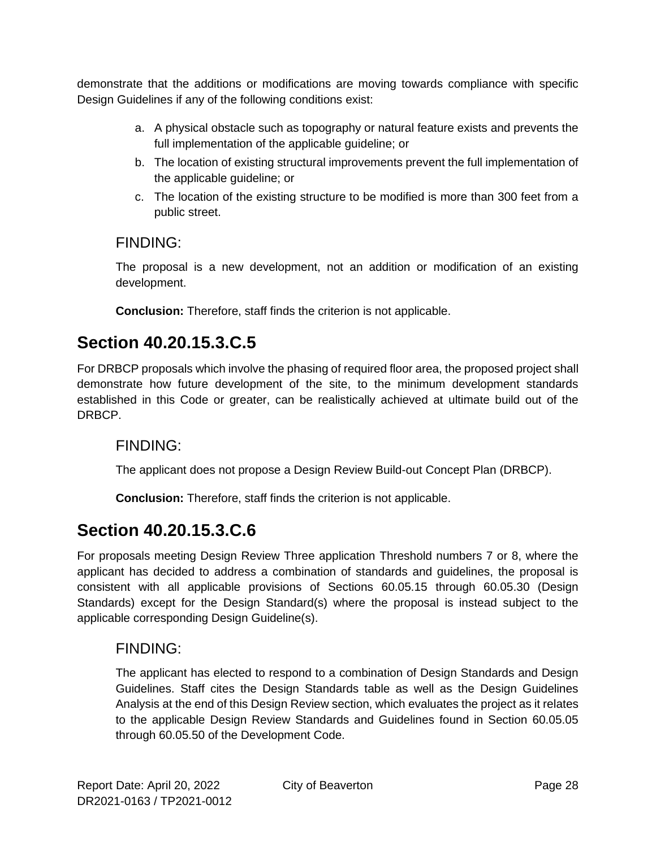demonstrate that the additions or modifications are moving towards compliance with specific Design Guidelines if any of the following conditions exist:

- a. A physical obstacle such as topography or natural feature exists and prevents the full implementation of the applicable guideline; or
- b. The location of existing structural improvements prevent the full implementation of the applicable guideline; or
- c. The location of the existing structure to be modified is more than 300 feet from a public street.

### FINDING:

The proposal is a new development, not an addition or modification of an existing development.

**Conclusion:** Therefore, staff finds the criterion is not applicable.

### **Section 40.20.15.3.C.5**

For DRBCP proposals which involve the phasing of required floor area, the proposed project shall demonstrate how future development of the site, to the minimum development standards established in this Code or greater, can be realistically achieved at ultimate build out of the DRBCP.

### FINDING:

The applicant does not propose a Design Review Build-out Concept Plan (DRBCP).

**Conclusion:** Therefore, staff finds the criterion is not applicable.

## **Section 40.20.15.3.C.6**

For proposals meeting Design Review Three application Threshold numbers 7 or 8, where the applicant has decided to address a combination of standards and guidelines, the proposal is consistent with all applicable provisions of Sections 60.05.15 through 60.05.30 (Design Standards) except for the Design Standard(s) where the proposal is instead subject to the applicable corresponding Design Guideline(s).

### FINDING:

The applicant has elected to respond to a combination of Design Standards and Design Guidelines. Staff cites the Design Standards table as well as the Design Guidelines Analysis at the end of this Design Review section, which evaluates the project as it relates to the applicable Design Review Standards and Guidelines found in Section 60.05.05 through 60.05.50 of the Development Code.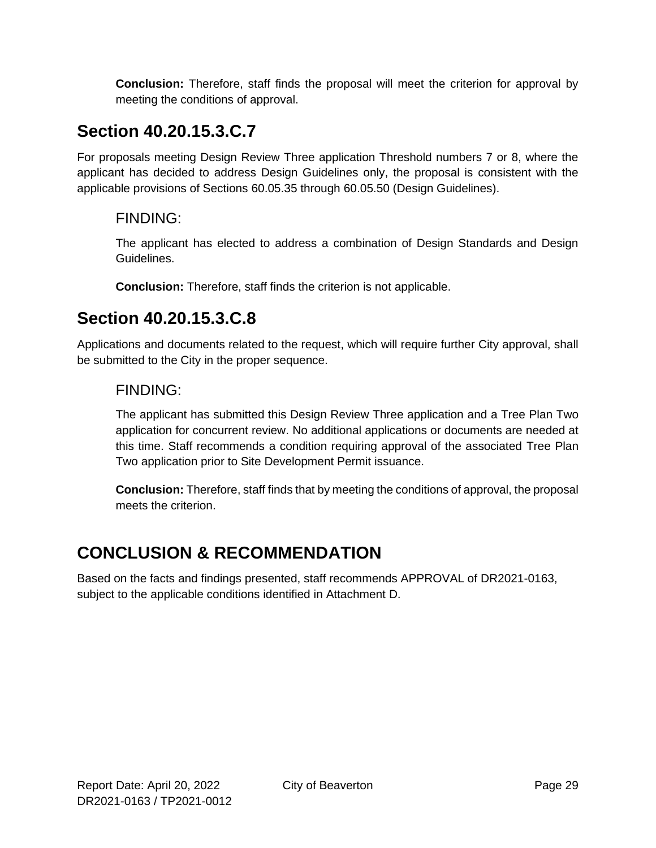**Conclusion:** Therefore, staff finds the proposal will meet the criterion for approval by meeting the conditions of approval.

## **Section 40.20.15.3.C.7**

For proposals meeting Design Review Three application Threshold numbers 7 or 8, where the applicant has decided to address Design Guidelines only, the proposal is consistent with the applicable provisions of Sections 60.05.35 through 60.05.50 (Design Guidelines).

### FINDING:

The applicant has elected to address a combination of Design Standards and Design Guidelines.

**Conclusion:** Therefore, staff finds the criterion is not applicable.

### **Section 40.20.15.3.C.8**

Applications and documents related to the request, which will require further City approval, shall be submitted to the City in the proper sequence.

#### FINDING:

The applicant has submitted this Design Review Three application and a Tree Plan Two application for concurrent review. No additional applications or documents are needed at this time. Staff recommends a condition requiring approval of the associated Tree Plan Two application prior to Site Development Permit issuance.

**Conclusion:** Therefore, staff finds that by meeting the conditions of approval, the proposal meets the criterion.

## **CONCLUSION & RECOMMENDATION**

Based on the facts and findings presented, staff recommends APPROVAL of DR2021-0163, subject to the applicable conditions identified in Attachment D.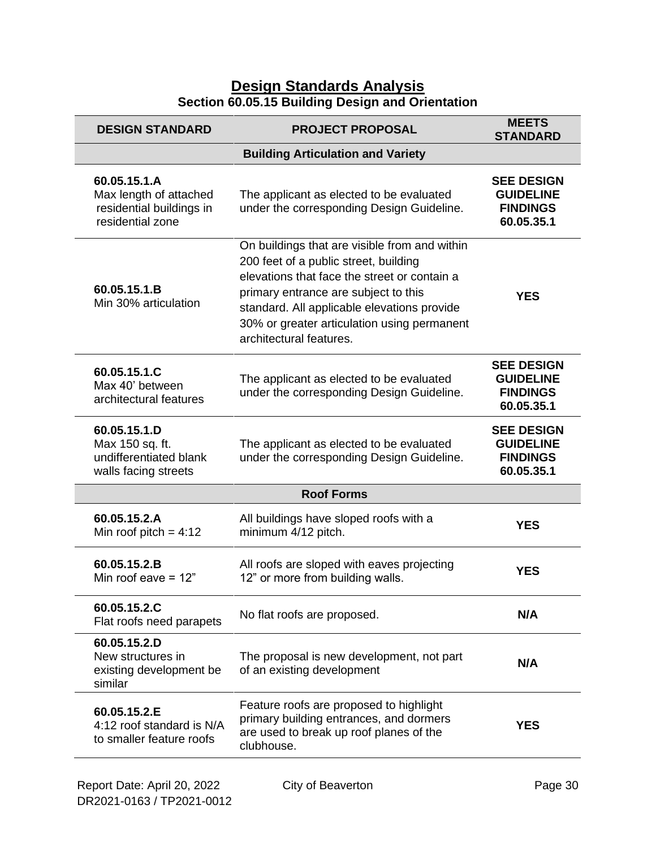#### **Design Standards Analysis Section 60.05.15 Building Design and Orientation**

| <b>DESIGN STANDARD</b>                                                                 | <b>PROJECT PROPOSAL</b>                                                                                                                                                                                                                                                                                 | <b>MEETS</b><br><b>STANDARD</b>                                        |  |
|----------------------------------------------------------------------------------------|---------------------------------------------------------------------------------------------------------------------------------------------------------------------------------------------------------------------------------------------------------------------------------------------------------|------------------------------------------------------------------------|--|
|                                                                                        | <b>Building Articulation and Variety</b>                                                                                                                                                                                                                                                                |                                                                        |  |
| 60.05.15.1.A<br>Max length of attached<br>residential buildings in<br>residential zone | The applicant as elected to be evaluated<br>under the corresponding Design Guideline.                                                                                                                                                                                                                   | <b>SEE DESIGN</b><br><b>GUIDELINE</b><br><b>FINDINGS</b><br>60.05.35.1 |  |
| 60.05.15.1.B<br>Min 30% articulation                                                   | On buildings that are visible from and within<br>200 feet of a public street, building<br>elevations that face the street or contain a<br>primary entrance are subject to this<br>standard. All applicable elevations provide<br>30% or greater articulation using permanent<br>architectural features. | <b>YES</b>                                                             |  |
| 60.05.15.1.C<br>Max 40' between<br>architectural features                              | The applicant as elected to be evaluated<br>under the corresponding Design Guideline.                                                                                                                                                                                                                   | <b>SEE DESIGN</b><br><b>GUIDELINE</b><br><b>FINDINGS</b><br>60.05.35.1 |  |
| 60.05.15.1.D<br>Max 150 sq. ft.<br>undifferentiated blank<br>walls facing streets      | The applicant as elected to be evaluated<br>under the corresponding Design Guideline.                                                                                                                                                                                                                   | <b>SEE DESIGN</b><br><b>GUIDELINE</b><br><b>FINDINGS</b><br>60.05.35.1 |  |
|                                                                                        | <b>Roof Forms</b>                                                                                                                                                                                                                                                                                       |                                                                        |  |
| 60.05.15.2.A<br>Min roof pitch = $4:12$                                                | All buildings have sloped roofs with a<br>minimum 4/12 pitch.                                                                                                                                                                                                                                           | <b>YES</b>                                                             |  |
| 60.05.15.2.B<br>Min roof eave $= 12$ "                                                 | All roofs are sloped with eaves projecting<br>12" or more from building walls.                                                                                                                                                                                                                          | <b>YES</b>                                                             |  |
| 60.05.15.2.C<br>Flat roofs need parapets                                               | No flat roofs are proposed.                                                                                                                                                                                                                                                                             | N/A                                                                    |  |
| 60.05.15.2.D<br>New structures in<br>existing development be<br>similar                | The proposal is new development, not part<br>of an existing development                                                                                                                                                                                                                                 | N/A                                                                    |  |
| 60.05.15.2.E<br>4:12 roof standard is N/A<br>to smaller feature roofs                  | Feature roofs are proposed to highlight<br>primary building entrances, and dormers<br>are used to break up roof planes of the<br>clubhouse.                                                                                                                                                             | <b>YES</b>                                                             |  |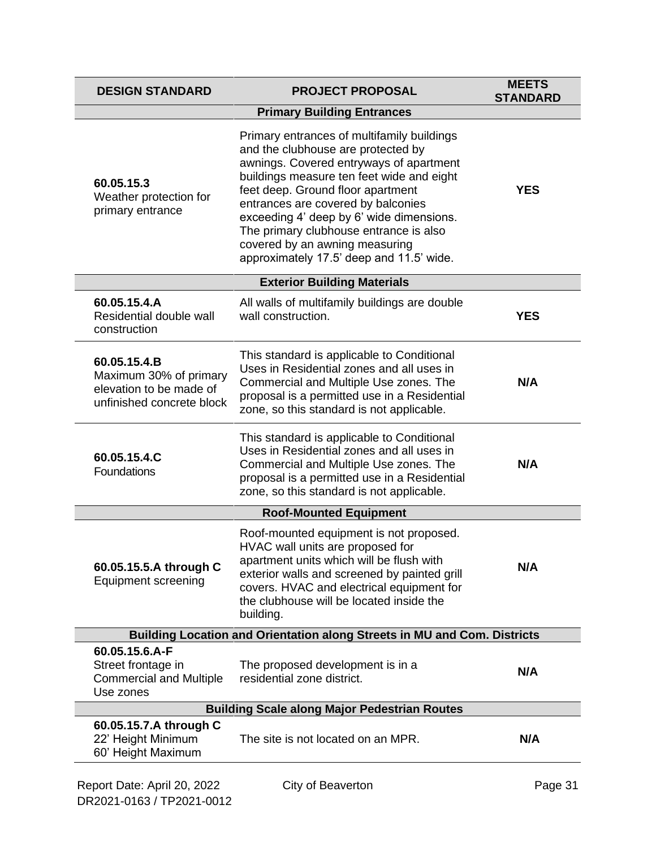| <b>DESIGN STANDARD</b>                                                                         | <b>PROJECT PROPOSAL</b>                                                                                                                                                                                                                                                                                                                                                                                                 | <b>MEETS</b><br><b>STANDARD</b> |  |
|------------------------------------------------------------------------------------------------|-------------------------------------------------------------------------------------------------------------------------------------------------------------------------------------------------------------------------------------------------------------------------------------------------------------------------------------------------------------------------------------------------------------------------|---------------------------------|--|
|                                                                                                | <b>Primary Building Entrances</b>                                                                                                                                                                                                                                                                                                                                                                                       |                                 |  |
| 60.05.15.3<br>Weather protection for<br>primary entrance                                       | Primary entrances of multifamily buildings<br>and the clubhouse are protected by<br>awnings. Covered entryways of apartment<br>buildings measure ten feet wide and eight<br>feet deep. Ground floor apartment<br>entrances are covered by balconies<br>exceeding 4' deep by 6' wide dimensions.<br>The primary clubhouse entrance is also<br>covered by an awning measuring<br>approximately 17.5' deep and 11.5' wide. | <b>YES</b>                      |  |
|                                                                                                | <b>Exterior Building Materials</b>                                                                                                                                                                                                                                                                                                                                                                                      |                                 |  |
| 60.05.15.4.A<br>Residential double wall<br>construction                                        | All walls of multifamily buildings are double<br>wall construction.                                                                                                                                                                                                                                                                                                                                                     | <b>YES</b>                      |  |
| 60.05.15.4.B<br>Maximum 30% of primary<br>elevation to be made of<br>unfinished concrete block | This standard is applicable to Conditional<br>Uses in Residential zones and all uses in<br>Commercial and Multiple Use zones. The<br>proposal is a permitted use in a Residential<br>zone, so this standard is not applicable.                                                                                                                                                                                          | N/A                             |  |
| 60.05.15.4.C<br>Foundations                                                                    | This standard is applicable to Conditional<br>Uses in Residential zones and all uses in<br>Commercial and Multiple Use zones. The<br>proposal is a permitted use in a Residential<br>zone, so this standard is not applicable.                                                                                                                                                                                          | N/A                             |  |
|                                                                                                | <b>Roof-Mounted Equipment</b>                                                                                                                                                                                                                                                                                                                                                                                           |                                 |  |
| 60.05.15.5.A through C<br><b>Equipment screening</b>                                           | Roof-mounted equipment is not proposed.<br>HVAC wall units are proposed for<br>apartment units which will be flush with<br>exterior walls and screened by painted grill<br>covers. HVAC and electrical equipment for<br>the clubhouse will be located inside the<br>building.                                                                                                                                           | N/A                             |  |
| Building Location and Orientation along Streets in MU and Com. Districts                       |                                                                                                                                                                                                                                                                                                                                                                                                                         |                                 |  |
| 60.05.15.6.A-F<br>Street frontage in<br><b>Commercial and Multiple</b><br>Use zones            | The proposed development is in a<br>residential zone district.                                                                                                                                                                                                                                                                                                                                                          | N/A                             |  |
|                                                                                                | <b>Building Scale along Major Pedestrian Routes</b>                                                                                                                                                                                                                                                                                                                                                                     |                                 |  |
| 60.05.15.7.A through C<br>22' Height Minimum<br>60' Height Maximum                             | The site is not located on an MPR.                                                                                                                                                                                                                                                                                                                                                                                      | N/A                             |  |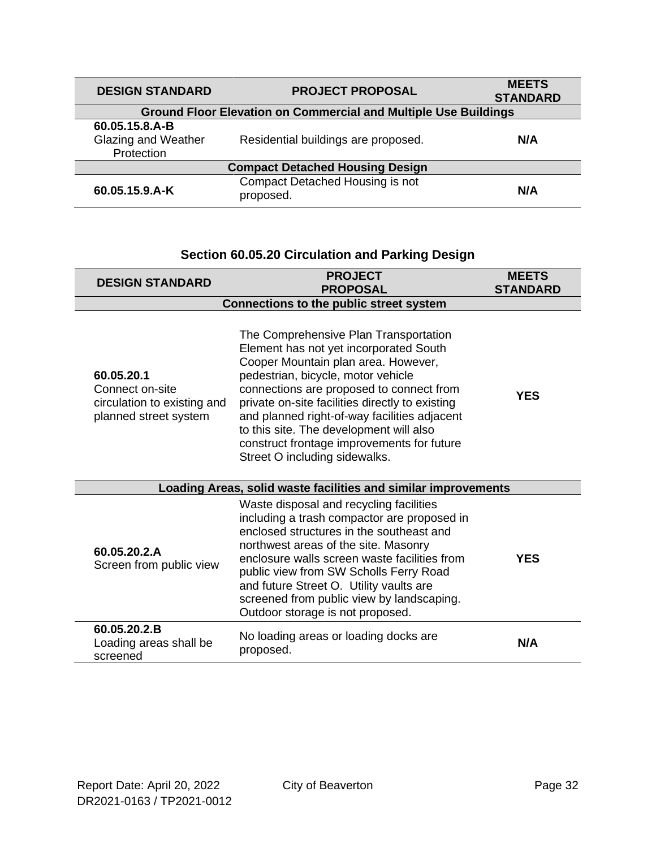| <b>DESIGN STANDARD</b>                              | <b>PROJECT PROPOSAL</b>                                                | <b>MEETS</b><br><b>STANDARD</b> |  |
|-----------------------------------------------------|------------------------------------------------------------------------|---------------------------------|--|
|                                                     | <b>Ground Floor Elevation on Commercial and Multiple Use Buildings</b> |                                 |  |
| 60.05.15.8.A-B<br>Glazing and Weather<br>Protection | Residential buildings are proposed.                                    | N/A                             |  |
| <b>Compact Detached Housing Design</b>              |                                                                        |                                 |  |
| 60.05.15.9.A-K                                      | Compact Detached Housing is not<br>proposed.                           | N/A                             |  |

### **Section 60.05.20 Circulation and Parking Design**

| <b>DESIGN STANDARD</b>                                                                | <b>PROJECT</b><br><b>PROPOSAL</b>                                                                                                                                                                                                                                                                                                                                                                                                     |     |
|---------------------------------------------------------------------------------------|---------------------------------------------------------------------------------------------------------------------------------------------------------------------------------------------------------------------------------------------------------------------------------------------------------------------------------------------------------------------------------------------------------------------------------------|-----|
| Connections to the public street system                                               |                                                                                                                                                                                                                                                                                                                                                                                                                                       |     |
| 60.05.20.1<br>Connect on-site<br>circulation to existing and<br>planned street system | The Comprehensive Plan Transportation<br>Element has not yet incorporated South<br>Cooper Mountain plan area. However,<br>pedestrian, bicycle, motor vehicle<br>connections are proposed to connect from<br>private on-site facilities directly to existing<br>and planned right-of-way facilities adjacent<br>to this site. The development will also<br>construct frontage improvements for future<br>Street O including sidewalks. | YES |
|                                                                                       | Loading Areas, solid waste facilities and similar improvements                                                                                                                                                                                                                                                                                                                                                                        |     |
| 60.05.20.2.A<br>Screen from public view                                               | Waste disposal and recycling facilities<br>including a trash compactor are proposed in<br>enclosed structures in the southeast and<br>northwest areas of the site. Masonry<br>enclosure walls screen waste facilities from<br>public view from SW Scholls Ferry Road<br>and future Street O. Utility vaults are<br>screened from public view by landscaping.<br>Outdoor storage is not proposed.                                      | YES |
| 60.05.20.2.B<br>Loading areas shall be<br>screened                                    | No loading areas or loading docks are<br>proposed.                                                                                                                                                                                                                                                                                                                                                                                    | N/A |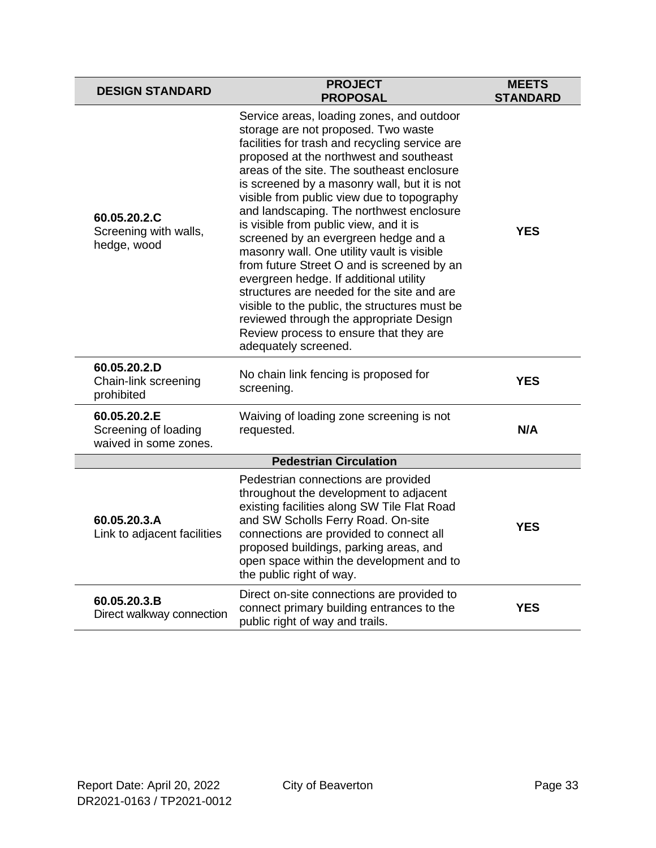| <b>DESIGN STANDARD</b>                                        | <b>PROJECT</b><br><b>PROPOSAL</b>                                                                                                                                                                                                                                                                                                                                                                                                                                                                                                                                                                                                                                                                                                                                                                         | <b>MEETS</b><br><b>STANDARD</b> |
|---------------------------------------------------------------|-----------------------------------------------------------------------------------------------------------------------------------------------------------------------------------------------------------------------------------------------------------------------------------------------------------------------------------------------------------------------------------------------------------------------------------------------------------------------------------------------------------------------------------------------------------------------------------------------------------------------------------------------------------------------------------------------------------------------------------------------------------------------------------------------------------|---------------------------------|
| 60.05.20.2.C<br>Screening with walls,<br>hedge, wood          | Service areas, loading zones, and outdoor<br>storage are not proposed. Two waste<br>facilities for trash and recycling service are<br>proposed at the northwest and southeast<br>areas of the site. The southeast enclosure<br>is screened by a masonry wall, but it is not<br>visible from public view due to topography<br>and landscaping. The northwest enclosure<br>is visible from public view, and it is<br>screened by an evergreen hedge and a<br>masonry wall. One utility vault is visible<br>from future Street O and is screened by an<br>evergreen hedge. If additional utility<br>structures are needed for the site and are<br>visible to the public, the structures must be<br>reviewed through the appropriate Design<br>Review process to ensure that they are<br>adequately screened. | YES                             |
| 60.05.20.2.D<br>Chain-link screening<br>prohibited            | No chain link fencing is proposed for<br>screening.                                                                                                                                                                                                                                                                                                                                                                                                                                                                                                                                                                                                                                                                                                                                                       | <b>YES</b>                      |
| 60.05.20.2.E<br>Screening of loading<br>waived in some zones. | Waiving of loading zone screening is not<br>requested.                                                                                                                                                                                                                                                                                                                                                                                                                                                                                                                                                                                                                                                                                                                                                    | N/A                             |
|                                                               | <b>Pedestrian Circulation</b>                                                                                                                                                                                                                                                                                                                                                                                                                                                                                                                                                                                                                                                                                                                                                                             |                                 |
| 60.05.20.3.A<br>Link to adjacent facilities                   | Pedestrian connections are provided<br>throughout the development to adjacent<br>existing facilities along SW Tile Flat Road<br>and SW Scholls Ferry Road. On-site<br>connections are provided to connect all<br>proposed buildings, parking areas, and<br>open space within the development and to<br>the public right of way.                                                                                                                                                                                                                                                                                                                                                                                                                                                                           | YES                             |
| 60.05.20.3.B<br>Direct walkway connection                     | Direct on-site connections are provided to<br>connect primary building entrances to the<br>public right of way and trails.                                                                                                                                                                                                                                                                                                                                                                                                                                                                                                                                                                                                                                                                                | <b>YES</b>                      |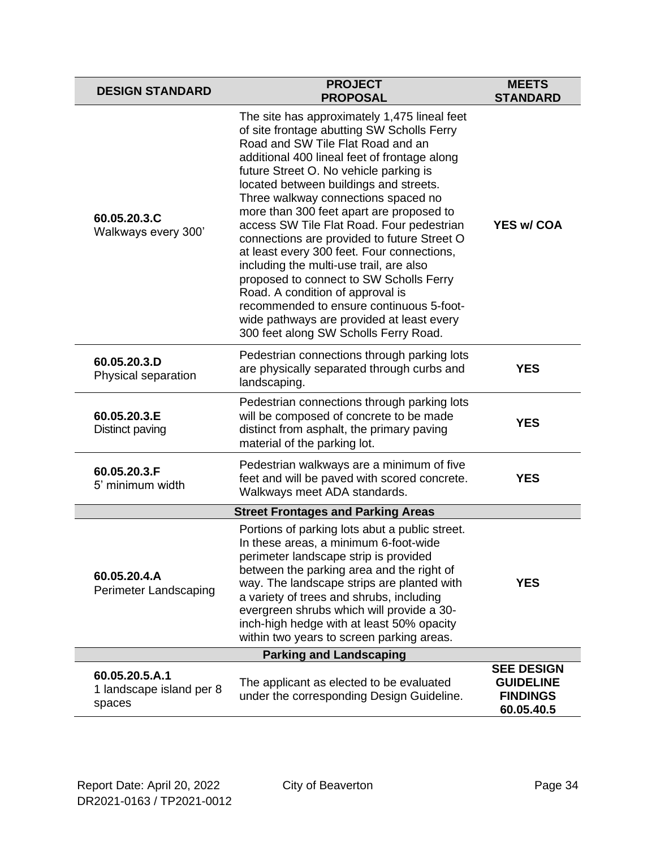| <b>DESIGN STANDARD</b>                               | <b>PROJECT</b><br><b>PROPOSAL</b>                                                                                                                                                                                                                                                                                                                                                                                                                                                                                                                                                                                                                                                                                                                            | <b>MEETS</b><br><b>STANDARD</b>                                        |
|------------------------------------------------------|--------------------------------------------------------------------------------------------------------------------------------------------------------------------------------------------------------------------------------------------------------------------------------------------------------------------------------------------------------------------------------------------------------------------------------------------------------------------------------------------------------------------------------------------------------------------------------------------------------------------------------------------------------------------------------------------------------------------------------------------------------------|------------------------------------------------------------------------|
| 60.05.20.3.C<br>Walkways every 300'                  | The site has approximately 1,475 lineal feet<br>of site frontage abutting SW Scholls Ferry<br>Road and SW Tile Flat Road and an<br>additional 400 lineal feet of frontage along<br>future Street O. No vehicle parking is<br>located between buildings and streets.<br>Three walkway connections spaced no<br>more than 300 feet apart are proposed to<br>access SW Tile Flat Road. Four pedestrian<br>connections are provided to future Street O<br>at least every 300 feet. Four connections,<br>including the multi-use trail, are also<br>proposed to connect to SW Scholls Ferry<br>Road. A condition of approval is<br>recommended to ensure continuous 5-foot-<br>wide pathways are provided at least every<br>300 feet along SW Scholls Ferry Road. | <b>YES w/ COA</b>                                                      |
| 60.05.20.3.D<br>Physical separation                  | Pedestrian connections through parking lots<br>are physically separated through curbs and<br>landscaping.                                                                                                                                                                                                                                                                                                                                                                                                                                                                                                                                                                                                                                                    | <b>YES</b>                                                             |
| 60.05.20.3.E<br>Distinct paving                      | Pedestrian connections through parking lots<br>will be composed of concrete to be made<br>distinct from asphalt, the primary paving<br>material of the parking lot.                                                                                                                                                                                                                                                                                                                                                                                                                                                                                                                                                                                          | <b>YES</b>                                                             |
| 60.05.20.3.F<br>5' minimum width                     | Pedestrian walkways are a minimum of five<br>feet and will be paved with scored concrete.<br>Walkways meet ADA standards.                                                                                                                                                                                                                                                                                                                                                                                                                                                                                                                                                                                                                                    | <b>YES</b>                                                             |
|                                                      | <b>Street Frontages and Parking Areas</b>                                                                                                                                                                                                                                                                                                                                                                                                                                                                                                                                                                                                                                                                                                                    |                                                                        |
| 60.05.20.4.A<br>Perimeter Landscaping                | Portions of parking lots abut a public street.<br>In these areas, a minimum 6-foot-wide<br>perimeter landscape strip is provided<br>between the parking area and the right of<br>way. The landscape strips are planted with<br>a variety of trees and shrubs, including<br>evergreen shrubs which will provide a 30-<br>inch-high hedge with at least 50% opacity<br>within two years to screen parking areas.                                                                                                                                                                                                                                                                                                                                               | <b>YES</b>                                                             |
| <b>Parking and Landscaping</b>                       |                                                                                                                                                                                                                                                                                                                                                                                                                                                                                                                                                                                                                                                                                                                                                              |                                                                        |
| 60.05.20.5.A.1<br>1 landscape island per 8<br>spaces | The applicant as elected to be evaluated<br>under the corresponding Design Guideline.                                                                                                                                                                                                                                                                                                                                                                                                                                                                                                                                                                                                                                                                        | <b>SEE DESIGN</b><br><b>GUIDELINE</b><br><b>FINDINGS</b><br>60.05.40.5 |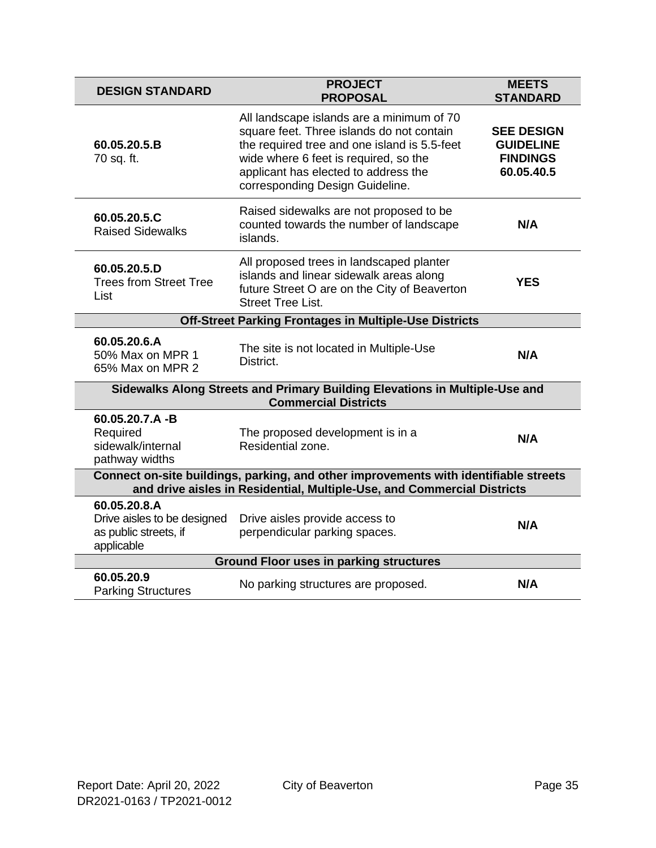| <b>DESIGN STANDARD</b>                                                                                                                                          | <b>PROJECT</b><br><b>PROPOSAL</b>                                                                                                                                                                                                                          | <b>MEETS</b><br><b>STANDARD</b>                                        |
|-----------------------------------------------------------------------------------------------------------------------------------------------------------------|------------------------------------------------------------------------------------------------------------------------------------------------------------------------------------------------------------------------------------------------------------|------------------------------------------------------------------------|
| 60.05.20.5.B<br>70 sq. ft.                                                                                                                                      | All landscape islands are a minimum of 70<br>square feet. Three islands do not contain<br>the required tree and one island is 5.5-feet<br>wide where 6 feet is required, so the<br>applicant has elected to address the<br>corresponding Design Guideline. | <b>SEE DESIGN</b><br><b>GUIDELINE</b><br><b>FINDINGS</b><br>60.05.40.5 |
| 60.05.20.5.C<br><b>Raised Sidewalks</b>                                                                                                                         | Raised sidewalks are not proposed to be<br>counted towards the number of landscape<br>islands.                                                                                                                                                             | N/A                                                                    |
| 60.05.20.5.D<br><b>Trees from Street Tree</b><br>List                                                                                                           | All proposed trees in landscaped planter<br>islands and linear sidewalk areas along<br>future Street O are on the City of Beaverton<br><b>Street Tree List.</b>                                                                                            | <b>YES</b>                                                             |
|                                                                                                                                                                 | Off-Street Parking Frontages in Multiple-Use Districts                                                                                                                                                                                                     |                                                                        |
| 60.05.20.6.A<br>50% Max on MPR 1<br>65% Max on MPR 2                                                                                                            | The site is not located in Multiple-Use<br>District.                                                                                                                                                                                                       | N/A                                                                    |
| Sidewalks Along Streets and Primary Building Elevations in Multiple-Use and<br><b>Commercial Districts</b>                                                      |                                                                                                                                                                                                                                                            |                                                                        |
| 60.05.20.7.A-B<br>Required<br>sidewalk/internal<br>pathway widths                                                                                               | The proposed development is in a<br>Residential zone.                                                                                                                                                                                                      | N/A                                                                    |
| Connect on-site buildings, parking, and other improvements with identifiable streets<br>and drive aisles in Residential, Multiple-Use, and Commercial Districts |                                                                                                                                                                                                                                                            |                                                                        |
| 60.05.20.8.A<br>Drive aisles to be designed<br>as public streets, if<br>applicable                                                                              | Drive aisles provide access to<br>perpendicular parking spaces.                                                                                                                                                                                            | N/A                                                                    |
| <b>Ground Floor uses in parking structures</b>                                                                                                                  |                                                                                                                                                                                                                                                            |                                                                        |
| 60.05.20.9<br><b>Parking Structures</b>                                                                                                                         | No parking structures are proposed.                                                                                                                                                                                                                        | N/A                                                                    |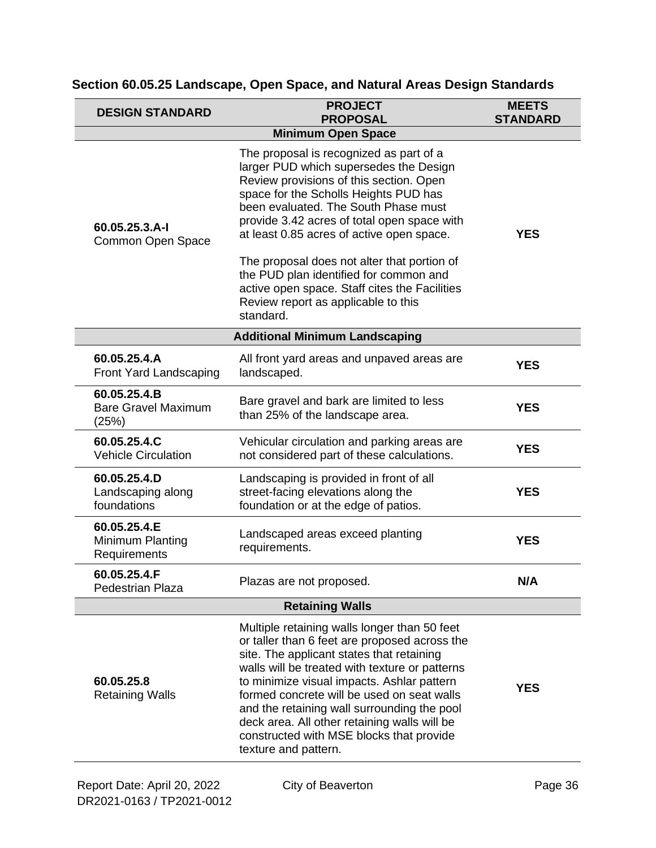| <b>PROJECT</b><br><b>DESIGN STANDARD</b><br><b>PROPOSAL</b> |                                                                                                                                                                                                                                                                                                                                                                                                                                                                                            | <b>MEETS</b><br><b>STANDARD</b> |
|-------------------------------------------------------------|--------------------------------------------------------------------------------------------------------------------------------------------------------------------------------------------------------------------------------------------------------------------------------------------------------------------------------------------------------------------------------------------------------------------------------------------------------------------------------------------|---------------------------------|
|                                                             | <b>Minimum Open Space</b>                                                                                                                                                                                                                                                                                                                                                                                                                                                                  |                                 |
| 60.05.25.3.A-I<br>Common Open Space                         | The proposal is recognized as part of a<br>larger PUD which supersedes the Design<br>Review provisions of this section. Open<br>space for the Scholls Heights PUD has<br>been evaluated. The South Phase must<br>provide 3.42 acres of total open space with<br>at least 0.85 acres of active open space.<br>The proposal does not alter that portion of<br>the PUD plan identified for common and<br>active open space. Staff cites the Facilities<br>Review report as applicable to this | <b>YES</b>                      |
|                                                             | standard.                                                                                                                                                                                                                                                                                                                                                                                                                                                                                  |                                 |
|                                                             | <b>Additional Minimum Landscaping</b>                                                                                                                                                                                                                                                                                                                                                                                                                                                      |                                 |
| 60.05.25.4.A<br>Front Yard Landscaping                      | All front yard areas and unpaved areas are<br>landscaped.                                                                                                                                                                                                                                                                                                                                                                                                                                  | <b>YES</b>                      |
| 60.05.25.4.B<br><b>Bare Gravel Maximum</b><br>(25%)         | Bare gravel and bark are limited to less<br>than 25% of the landscape area.                                                                                                                                                                                                                                                                                                                                                                                                                | <b>YES</b>                      |
| 60.05.25.4.C<br><b>Vehicle Circulation</b>                  | Vehicular circulation and parking areas are<br>not considered part of these calculations.                                                                                                                                                                                                                                                                                                                                                                                                  | <b>YES</b>                      |
| 60.05.25.4.D<br>Landscaping along<br>foundations            | Landscaping is provided in front of all<br>street-facing elevations along the<br>foundation or at the edge of patios.                                                                                                                                                                                                                                                                                                                                                                      | <b>YES</b>                      |
| 60.05.25.4.E<br>Minimum Planting<br>Requirements            | Landscaped areas exceed planting<br>requirements.                                                                                                                                                                                                                                                                                                                                                                                                                                          | <b>YES</b>                      |
| 60.05.25.4.F<br>Pedestrian Plaza                            | Plazas are not proposed.                                                                                                                                                                                                                                                                                                                                                                                                                                                                   | N/A                             |
|                                                             | <b>Retaining Walls</b>                                                                                                                                                                                                                                                                                                                                                                                                                                                                     |                                 |
| 60.05.25.8<br><b>Retaining Walls</b>                        | Multiple retaining walls longer than 50 feet<br>or taller than 6 feet are proposed across the<br>site. The applicant states that retaining<br>walls will be treated with texture or patterns<br>to minimize visual impacts. Ashlar pattern<br>formed concrete will be used on seat walls<br>and the retaining wall surrounding the pool<br>deck area. All other retaining walls will be<br>constructed with MSE blocks that provide<br>texture and pattern.                                | <b>YES</b>                      |

### **Section 60.05.25 Landscape, Open Space, and Natural Areas Design Standards**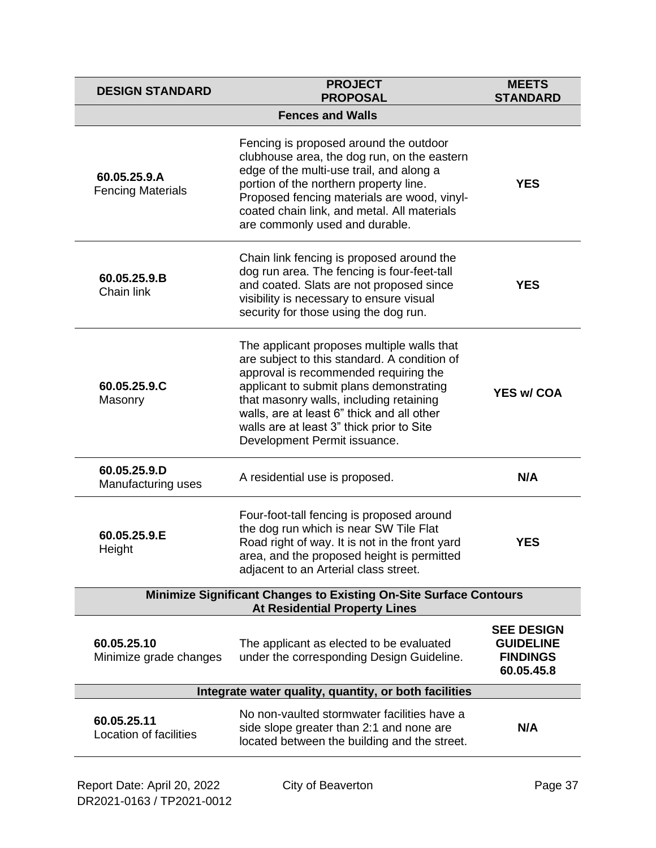| <b>DESIGN STANDARD</b>                   | <b>PROJECT</b><br><b>PROPOSAL</b>                                                                                                                                                                                                                                                                                                                    | <b>MEETS</b><br><b>STANDARD</b>                                        |  |
|------------------------------------------|------------------------------------------------------------------------------------------------------------------------------------------------------------------------------------------------------------------------------------------------------------------------------------------------------------------------------------------------------|------------------------------------------------------------------------|--|
|                                          | <b>Fences and Walls</b>                                                                                                                                                                                                                                                                                                                              |                                                                        |  |
| 60.05.25.9.A<br><b>Fencing Materials</b> | Fencing is proposed around the outdoor<br>clubhouse area, the dog run, on the eastern<br>edge of the multi-use trail, and along a<br>portion of the northern property line.<br>Proposed fencing materials are wood, vinyl-<br>coated chain link, and metal. All materials<br>are commonly used and durable.                                          | <b>YES</b>                                                             |  |
| 60.05.25.9.B<br>Chain link               | Chain link fencing is proposed around the<br>dog run area. The fencing is four-feet-tall<br>and coated. Slats are not proposed since<br>visibility is necessary to ensure visual<br>security for those using the dog run.                                                                                                                            | <b>YES</b>                                                             |  |
| 60.05.25.9.C<br>Masonry                  | The applicant proposes multiple walls that<br>are subject to this standard. A condition of<br>approval is recommended requiring the<br>applicant to submit plans demonstrating<br>that masonry walls, including retaining<br>walls, are at least 6" thick and all other<br>walls are at least 3" thick prior to Site<br>Development Permit issuance. | <b>YES w/ COA</b>                                                      |  |
| 60.05.25.9.D<br>Manufacturing uses       | A residential use is proposed.                                                                                                                                                                                                                                                                                                                       | N/A                                                                    |  |
| 60.05.25.9.E<br>Height                   | Four-foot-tall fencing is proposed around<br>the dog run which is near SW Tile Flat<br>Road right of way. It is not in the front yard<br>area, and the proposed height is permitted<br>adjacent to an Arterial class street.                                                                                                                         | <b>YES</b>                                                             |  |
|                                          | <b>Minimize Significant Changes to Existing On-Site Surface Contours</b><br><b>At Residential Property Lines</b>                                                                                                                                                                                                                                     |                                                                        |  |
| 60.05.25.10<br>Minimize grade changes    | The applicant as elected to be evaluated<br>under the corresponding Design Guideline.                                                                                                                                                                                                                                                                | <b>SEE DESIGN</b><br><b>GUIDELINE</b><br><b>FINDINGS</b><br>60.05.45.8 |  |
|                                          | Integrate water quality, quantity, or both facilities                                                                                                                                                                                                                                                                                                |                                                                        |  |
| 60.05.25.11<br>Location of facilities    | No non-vaulted stormwater facilities have a<br>side slope greater than 2:1 and none are<br>located between the building and the street.                                                                                                                                                                                                              | N/A                                                                    |  |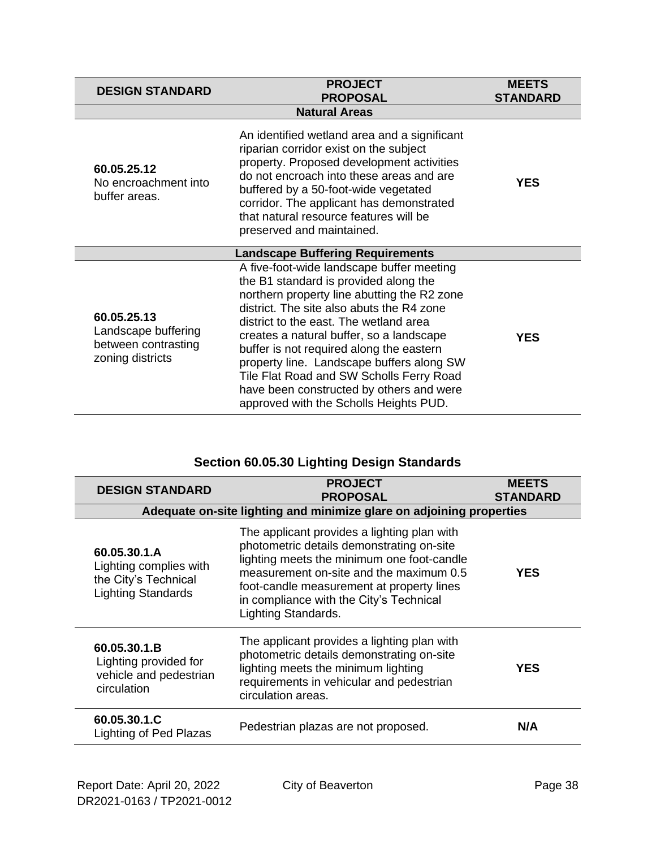| <b>PROJECT</b><br><b>DESIGN STANDARD</b><br><b>PROPOSAL</b>                                                                                                                                                                                                                                                                                                                                        |                                                                                                                                                                                                                                                                                                                                                                                                                                                                                                 | <b>MEETS</b><br><b>STANDARD</b> |
|----------------------------------------------------------------------------------------------------------------------------------------------------------------------------------------------------------------------------------------------------------------------------------------------------------------------------------------------------------------------------------------------------|-------------------------------------------------------------------------------------------------------------------------------------------------------------------------------------------------------------------------------------------------------------------------------------------------------------------------------------------------------------------------------------------------------------------------------------------------------------------------------------------------|---------------------------------|
|                                                                                                                                                                                                                                                                                                                                                                                                    | <b>Natural Areas</b>                                                                                                                                                                                                                                                                                                                                                                                                                                                                            |                                 |
| An identified wetland area and a significant<br>riparian corridor exist on the subject<br>property. Proposed development activities<br>60.05.25.12<br>do not encroach into these areas and are<br>No encroachment into<br>buffered by a 50-foot-wide vegetated<br>buffer areas.<br>corridor. The applicant has demonstrated<br>that natural resource features will be<br>preserved and maintained. |                                                                                                                                                                                                                                                                                                                                                                                                                                                                                                 | YES                             |
| <b>Landscape Buffering Requirements</b>                                                                                                                                                                                                                                                                                                                                                            |                                                                                                                                                                                                                                                                                                                                                                                                                                                                                                 |                                 |
| 60.05.25.13<br>Landscape buffering<br>between contrasting<br>zoning districts                                                                                                                                                                                                                                                                                                                      | A five-foot-wide landscape buffer meeting<br>the B1 standard is provided along the<br>northern property line abutting the R2 zone<br>district. The site also abuts the R4 zone<br>district to the east. The wetland area<br>creates a natural buffer, so a landscape<br>buffer is not required along the eastern<br>property line. Landscape buffers along SW<br>Tile Flat Road and SW Scholls Ferry Road<br>have been constructed by others and were<br>approved with the Scholls Heights PUD. | <b>YES</b>                      |

### **Section 60.05.30 Lighting Design Standards**

| <b>DESIGN STANDARD</b>                                                                                                                                                                                                                                                              | <b>PROJECT</b><br><b>PROPOSAL</b>                                                                                                                                                                                                                                                                | <b>MEETS</b><br><b>STANDARD</b> |
|-------------------------------------------------------------------------------------------------------------------------------------------------------------------------------------------------------------------------------------------------------------------------------------|--------------------------------------------------------------------------------------------------------------------------------------------------------------------------------------------------------------------------------------------------------------------------------------------------|---------------------------------|
| Adequate on-site lighting and minimize glare on adjoining properties                                                                                                                                                                                                                |                                                                                                                                                                                                                                                                                                  |                                 |
| 60.05.30.1.A<br>Lighting complies with<br>the City's Technical<br><b>Lighting Standards</b>                                                                                                                                                                                         | The applicant provides a lighting plan with<br>photometric details demonstrating on-site<br>lighting meets the minimum one foot-candle<br>measurement on-site and the maximum 0.5<br>foot-candle measurement at property lines<br>in compliance with the City's Technical<br>Lighting Standards. | <b>YES</b>                      |
| The applicant provides a lighting plan with<br>60.05.30.1.B<br>photometric details demonstrating on-site<br>Lighting provided for<br>lighting meets the minimum lighting<br>vehicle and pedestrian<br>requirements in vehicular and pedestrian<br>circulation<br>circulation areas. |                                                                                                                                                                                                                                                                                                  | <b>YES</b>                      |
| 60.05.30.1.C<br>Lighting of Ped Plazas                                                                                                                                                                                                                                              | Pedestrian plazas are not proposed.                                                                                                                                                                                                                                                              | N/A                             |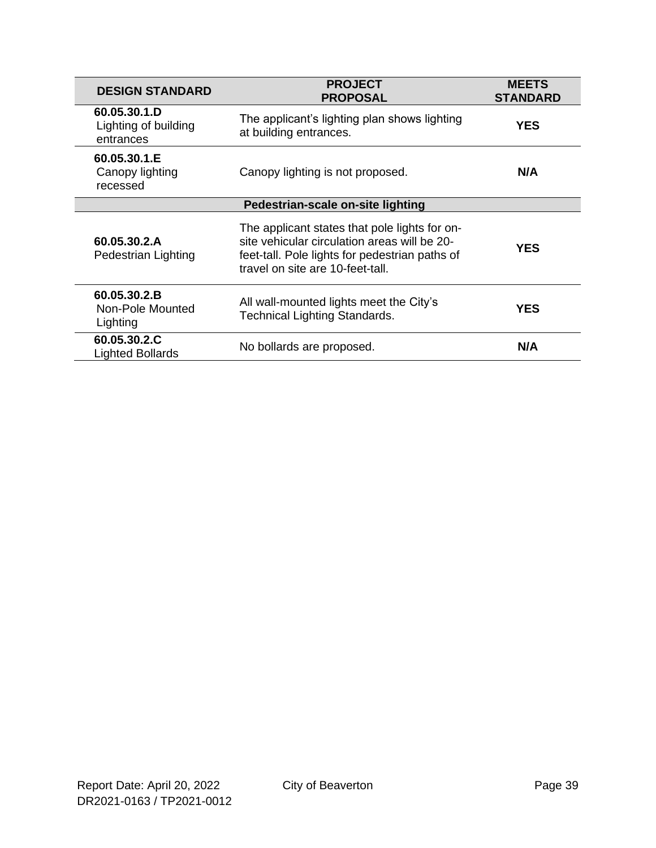| <b>DESIGN STANDARD</b>                            | <b>PROJECT</b><br><b>PROPOSAL</b>                                                                                                                                                   | <b>MEETS</b><br><b>STANDARD</b> |  |
|---------------------------------------------------|-------------------------------------------------------------------------------------------------------------------------------------------------------------------------------------|---------------------------------|--|
| 60.05.30.1.D<br>Lighting of building<br>entrances | The applicant's lighting plan shows lighting<br>at building entrances.                                                                                                              | YES                             |  |
| 60.05.30.1.E<br>Canopy lighting<br>recessed       | Canopy lighting is not proposed.                                                                                                                                                    | N/A                             |  |
|                                                   | Pedestrian-scale on-site lighting                                                                                                                                                   |                                 |  |
| 60.05.30.2.A<br>Pedestrian Lighting               | The applicant states that pole lights for on-<br>site vehicular circulation areas will be 20-<br>feet-tall. Pole lights for pedestrian paths of<br>travel on site are 10-feet-tall. | <b>YES</b>                      |  |
| 60.05.30.2.B<br>Non-Pole Mounted<br>Lighting      | All wall-mounted lights meet the City's<br><b>Technical Lighting Standards.</b>                                                                                                     | <b>YES</b>                      |  |
| 60.05.30.2.C<br><b>Lighted Bollards</b>           | No bollards are proposed.                                                                                                                                                           | N/A                             |  |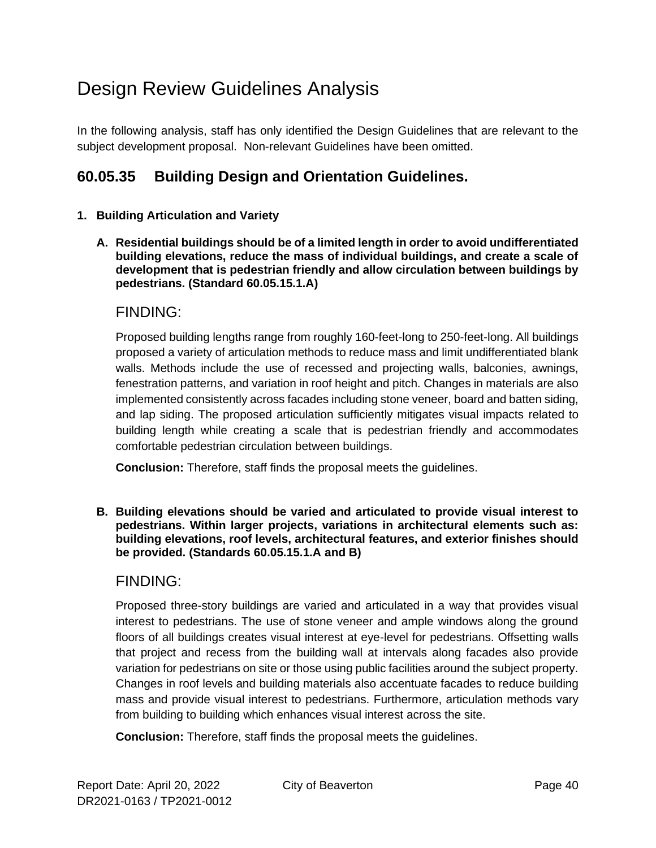# Design Review Guidelines Analysis

In the following analysis, staff has only identified the Design Guidelines that are relevant to the subject development proposal. Non-relevant Guidelines have been omitted.

### **60.05.35 Building Design and Orientation Guidelines.**

#### **1. Building Articulation and Variety**

**A. Residential buildings should be of a limited length in order to avoid undifferentiated building elevations, reduce the mass of individual buildings, and create a scale of development that is pedestrian friendly and allow circulation between buildings by pedestrians. (Standard 60.05.15.1.A)**

#### FINDING:

Proposed building lengths range from roughly 160-feet-long to 250-feet-long. All buildings proposed a variety of articulation methods to reduce mass and limit undifferentiated blank walls. Methods include the use of recessed and projecting walls, balconies, awnings, fenestration patterns, and variation in roof height and pitch. Changes in materials are also implemented consistently across facades including stone veneer, board and batten siding, and lap siding. The proposed articulation sufficiently mitigates visual impacts related to building length while creating a scale that is pedestrian friendly and accommodates comfortable pedestrian circulation between buildings.

**Conclusion:** Therefore, staff finds the proposal meets the guidelines.

**B. Building elevations should be varied and articulated to provide visual interest to pedestrians. Within larger projects, variations in architectural elements such as: building elevations, roof levels, architectural features, and exterior finishes should be provided. (Standards 60.05.15.1.A and B)**

#### FINDING:

Proposed three-story buildings are varied and articulated in a way that provides visual interest to pedestrians. The use of stone veneer and ample windows along the ground floors of all buildings creates visual interest at eye-level for pedestrians. Offsetting walls that project and recess from the building wall at intervals along facades also provide variation for pedestrians on site or those using public facilities around the subject property. Changes in roof levels and building materials also accentuate facades to reduce building mass and provide visual interest to pedestrians. Furthermore, articulation methods vary from building to building which enhances visual interest across the site.

**Conclusion:** Therefore, staff finds the proposal meets the guidelines.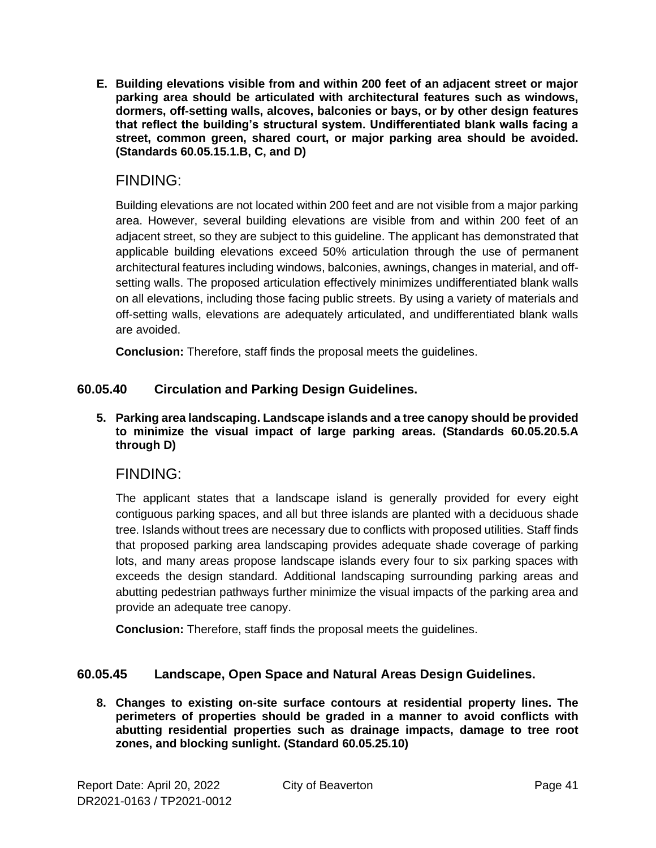**E. Building elevations visible from and within 200 feet of an adjacent street or major parking area should be articulated with architectural features such as windows, dormers, off-setting walls, alcoves, balconies or bays, or by other design features that reflect the building's structural system. Undifferentiated blank walls facing a street, common green, shared court, or major parking area should be avoided. (Standards 60.05.15.1.B, C, and D)**

#### FINDING:

Building elevations are not located within 200 feet and are not visible from a major parking area. However, several building elevations are visible from and within 200 feet of an adjacent street, so they are subject to this guideline. The applicant has demonstrated that applicable building elevations exceed 50% articulation through the use of permanent architectural features including windows, balconies, awnings, changes in material, and offsetting walls. The proposed articulation effectively minimizes undifferentiated blank walls on all elevations, including those facing public streets. By using a variety of materials and off-setting walls, elevations are adequately articulated, and undifferentiated blank walls are avoided.

**Conclusion:** Therefore, staff finds the proposal meets the guidelines.

#### **60.05.40 Circulation and Parking Design Guidelines.**

#### **5. Parking area landscaping. Landscape islands and a tree canopy should be provided to minimize the visual impact of large parking areas. (Standards 60.05.20.5.A through D)**

#### FINDING:

The applicant states that a landscape island is generally provided for every eight contiguous parking spaces, and all but three islands are planted with a deciduous shade tree. Islands without trees are necessary due to conflicts with proposed utilities. Staff finds that proposed parking area landscaping provides adequate shade coverage of parking lots, and many areas propose landscape islands every four to six parking spaces with exceeds the design standard. Additional landscaping surrounding parking areas and abutting pedestrian pathways further minimize the visual impacts of the parking area and provide an adequate tree canopy.

**Conclusion:** Therefore, staff finds the proposal meets the guidelines.

#### **60.05.45 Landscape, Open Space and Natural Areas Design Guidelines.**

**8. Changes to existing on-site surface contours at residential property lines. The perimeters of properties should be graded in a manner to avoid conflicts with abutting residential properties such as drainage impacts, damage to tree root zones, and blocking sunlight. (Standard 60.05.25.10)**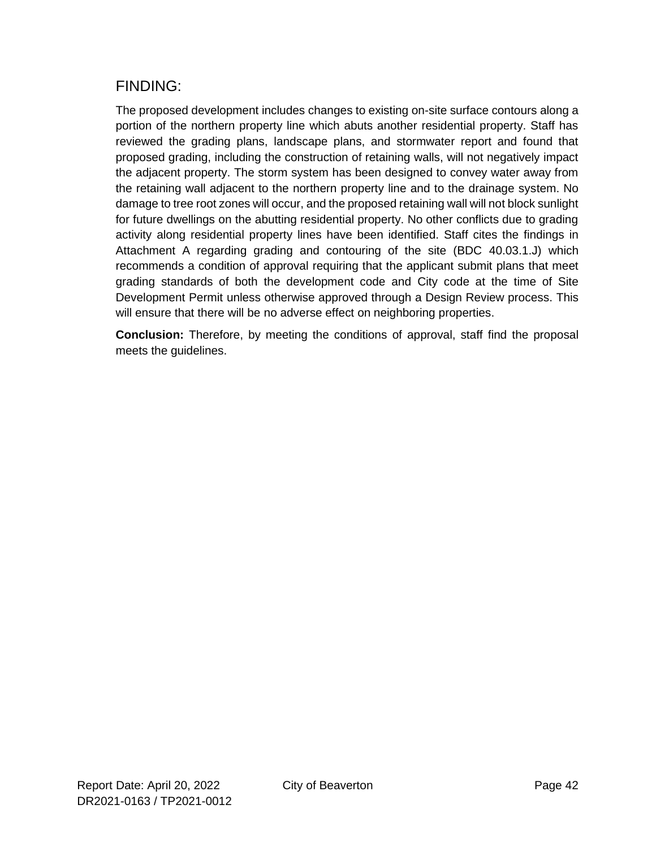### FINDING:

The proposed development includes changes to existing on-site surface contours along a portion of the northern property line which abuts another residential property. Staff has reviewed the grading plans, landscape plans, and stormwater report and found that proposed grading, including the construction of retaining walls, will not negatively impact the adjacent property. The storm system has been designed to convey water away from the retaining wall adjacent to the northern property line and to the drainage system. No damage to tree root zones will occur, and the proposed retaining wall will not block sunlight for future dwellings on the abutting residential property. No other conflicts due to grading activity along residential property lines have been identified. Staff cites the findings in Attachment A regarding grading and contouring of the site (BDC 40.03.1.J) which recommends a condition of approval requiring that the applicant submit plans that meet grading standards of both the development code and City code at the time of Site Development Permit unless otherwise approved through a Design Review process. This will ensure that there will be no adverse effect on neighboring properties.

**Conclusion:** Therefore, by meeting the conditions of approval, staff find the proposal meets the guidelines.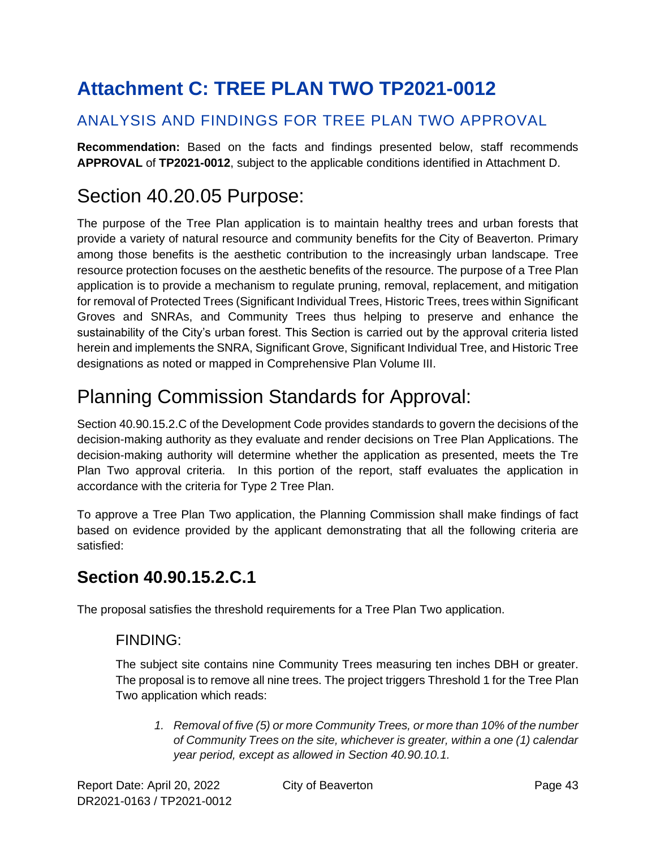# <span id="page-42-0"></span>**Attachment C: TREE PLAN TWO TP2021-0012**

### ANALYSIS AND FINDINGS FOR TREE PLAN TWO APPROVAL

**Recommendation:** Based on the facts and findings presented below, staff recommends **APPROVAL** of **TP2021-0012**, subject to the applicable conditions identified in Attachment D.

## Section 40.20.05 Purpose:

The purpose of the Tree Plan application is to maintain healthy trees and urban forests that provide a variety of natural resource and community benefits for the City of Beaverton. Primary among those benefits is the aesthetic contribution to the increasingly urban landscape. Tree resource protection focuses on the aesthetic benefits of the resource. The purpose of a Tree Plan application is to provide a mechanism to regulate pruning, removal, replacement, and mitigation for removal of Protected Trees (Significant Individual Trees, Historic Trees, trees within Significant Groves and SNRAs, and Community Trees thus helping to preserve and enhance the sustainability of the City's urban forest. This Section is carried out by the approval criteria listed herein and implements the SNRA, Significant Grove, Significant Individual Tree, and Historic Tree designations as noted or mapped in Comprehensive Plan Volume III.

# Planning Commission Standards for Approval:

Section 40.90.15.2.C of the Development Code provides standards to govern the decisions of the decision-making authority as they evaluate and render decisions on Tree Plan Applications. The decision-making authority will determine whether the application as presented, meets the Tre Plan Two approval criteria. In this portion of the report, staff evaluates the application in accordance with the criteria for Type 2 Tree Plan.

To approve a Tree Plan Two application, the Planning Commission shall make findings of fact based on evidence provided by the applicant demonstrating that all the following criteria are satisfied:

### **Section 40.90.15.2.C.1**

The proposal satisfies the threshold requirements for a Tree Plan Two application.

### FINDING:

The subject site contains nine Community Trees measuring ten inches DBH or greater. The proposal is to remove all nine trees. The project triggers Threshold 1 for the Tree Plan Two application which reads:

*1. Removal of five (5) or more Community Trees, or more than 10% of the number of Community Trees on the site, whichever is greater, within a one (1) calendar year period, except as allowed in Section 40.90.10.1.*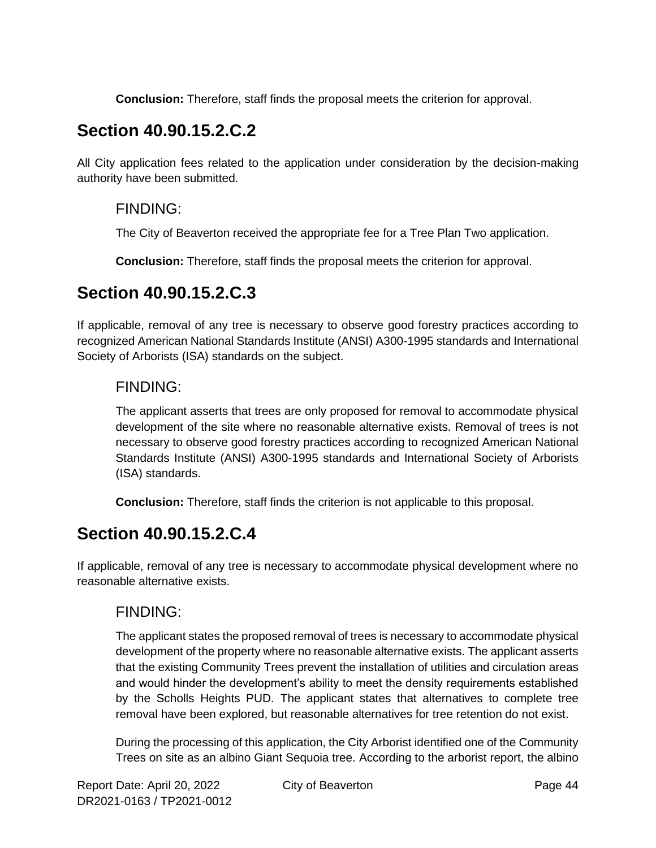**Conclusion:** Therefore, staff finds the proposal meets the criterion for approval.

## **Section 40.90.15.2.C.2**

All City application fees related to the application under consideration by the decision-making authority have been submitted.

### FINDING:

The City of Beaverton received the appropriate fee for a Tree Plan Two application.

**Conclusion:** Therefore, staff finds the proposal meets the criterion for approval.

### **Section 40.90.15.2.C.3**

If applicable, removal of any tree is necessary to observe good forestry practices according to recognized American National Standards Institute (ANSI) A300-1995 standards and International Society of Arborists (ISA) standards on the subject.

### FINDING:

The applicant asserts that trees are only proposed for removal to accommodate physical development of the site where no reasonable alternative exists. Removal of trees is not necessary to observe good forestry practices according to recognized American National Standards Institute (ANSI) A300-1995 standards and International Society of Arborists (ISA) standards.

**Conclusion:** Therefore, staff finds the criterion is not applicable to this proposal.

## **Section 40.90.15.2.C.4**

If applicable, removal of any tree is necessary to accommodate physical development where no reasonable alternative exists.

### FINDING:

The applicant states the proposed removal of trees is necessary to accommodate physical development of the property where no reasonable alternative exists. The applicant asserts that the existing Community Trees prevent the installation of utilities and circulation areas and would hinder the development's ability to meet the density requirements established by the Scholls Heights PUD. The applicant states that alternatives to complete tree removal have been explored, but reasonable alternatives for tree retention do not exist.

During the processing of this application, the City Arborist identified one of the Community Trees on site as an albino Giant Sequoia tree. According to the arborist report, the albino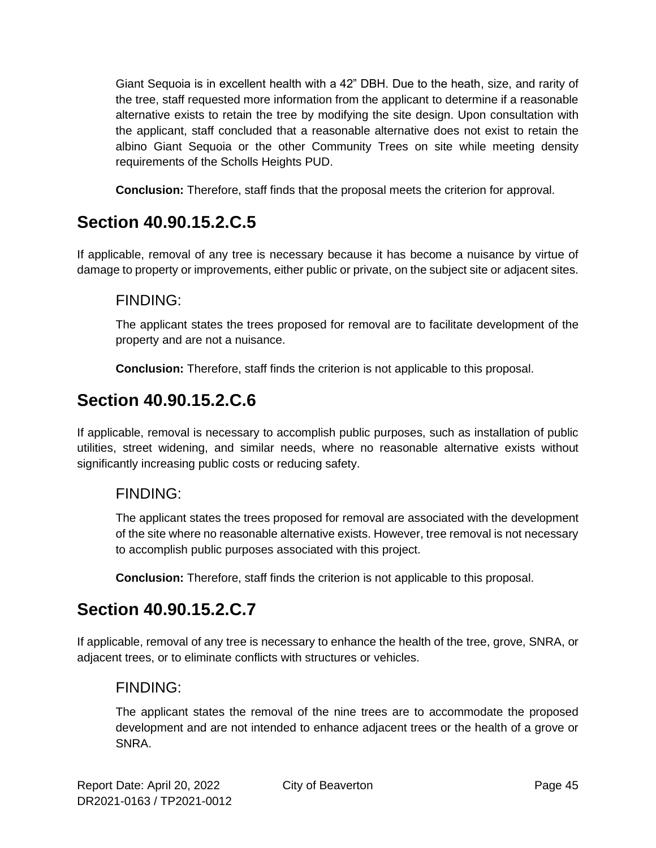Giant Sequoia is in excellent health with a 42" DBH. Due to the heath, size, and rarity of the tree, staff requested more information from the applicant to determine if a reasonable alternative exists to retain the tree by modifying the site design. Upon consultation with the applicant, staff concluded that a reasonable alternative does not exist to retain the albino Giant Sequoia or the other Community Trees on site while meeting density requirements of the Scholls Heights PUD.

**Conclusion:** Therefore, staff finds that the proposal meets the criterion for approval.

## **Section 40.90.15.2.C.5**

If applicable, removal of any tree is necessary because it has become a nuisance by virtue of damage to property or improvements, either public or private, on the subject site or adjacent sites.

#### FINDING:

The applicant states the trees proposed for removal are to facilitate development of the property and are not a nuisance.

**Conclusion:** Therefore, staff finds the criterion is not applicable to this proposal.

### **Section 40.90.15.2.C.6**

If applicable, removal is necessary to accomplish public purposes, such as installation of public utilities, street widening, and similar needs, where no reasonable alternative exists without significantly increasing public costs or reducing safety.

#### FINDING:

The applicant states the trees proposed for removal are associated with the development of the site where no reasonable alternative exists. However, tree removal is not necessary to accomplish public purposes associated with this project.

**Conclusion:** Therefore, staff finds the criterion is not applicable to this proposal.

## **Section 40.90.15.2.C.7**

If applicable, removal of any tree is necessary to enhance the health of the tree, grove, SNRA, or adjacent trees, or to eliminate conflicts with structures or vehicles.

### FINDING:

The applicant states the removal of the nine trees are to accommodate the proposed development and are not intended to enhance adjacent trees or the health of a grove or SNRA.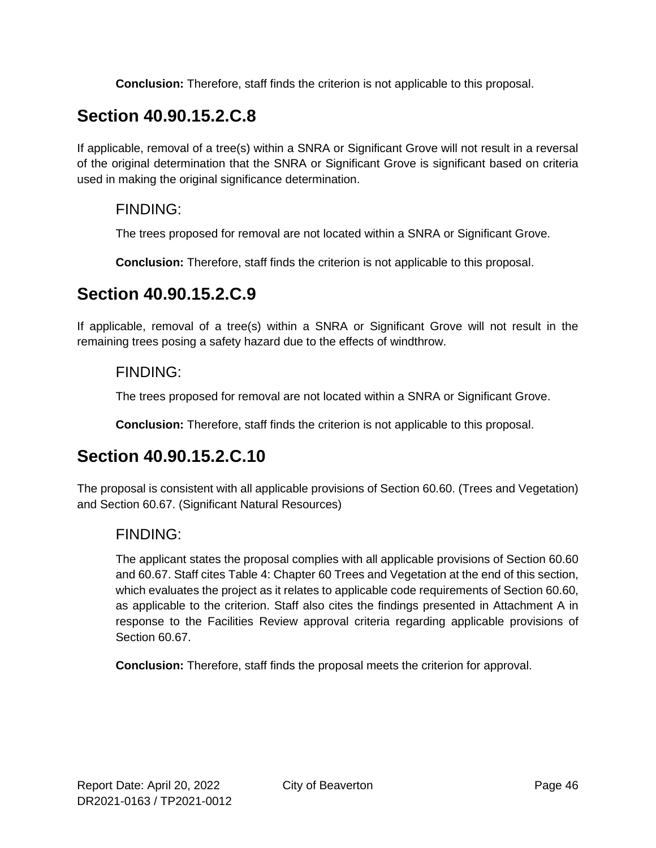**Conclusion:** Therefore, staff finds the criterion is not applicable to this proposal.

## **Section 40.90.15.2.C.8**

If applicable, removal of a tree(s) within a SNRA or Significant Grove will not result in a reversal of the original determination that the SNRA or Significant Grove is significant based on criteria used in making the original significance determination.

#### FINDING:

The trees proposed for removal are not located within a SNRA or Significant Grove.

**Conclusion:** Therefore, staff finds the criterion is not applicable to this proposal.

### **Section 40.90.15.2.C.9**

If applicable, removal of a tree(s) within a SNRA or Significant Grove will not result in the remaining trees posing a safety hazard due to the effects of windthrow.

### FINDING:

The trees proposed for removal are not located within a SNRA or Significant Grove.

**Conclusion:** Therefore, staff finds the criterion is not applicable to this proposal.

## **Section 40.90.15.2.C.10**

The proposal is consistent with all applicable provisions of Section 60.60. (Trees and Vegetation) and Section 60.67. (Significant Natural Resources)

### FINDING:

The applicant states the proposal complies with all applicable provisions of Section 60.60 and 60.67. Staff cites Table 4: Chapter 60 Trees and Vegetation at the end of this section, which evaluates the project as it relates to applicable code requirements of Section 60.60, as applicable to the criterion. Staff also cites the findings presented in Attachment A in response to the Facilities Review approval criteria regarding applicable provisions of Section 60.67.

**Conclusion:** Therefore, staff finds the proposal meets the criterion for approval.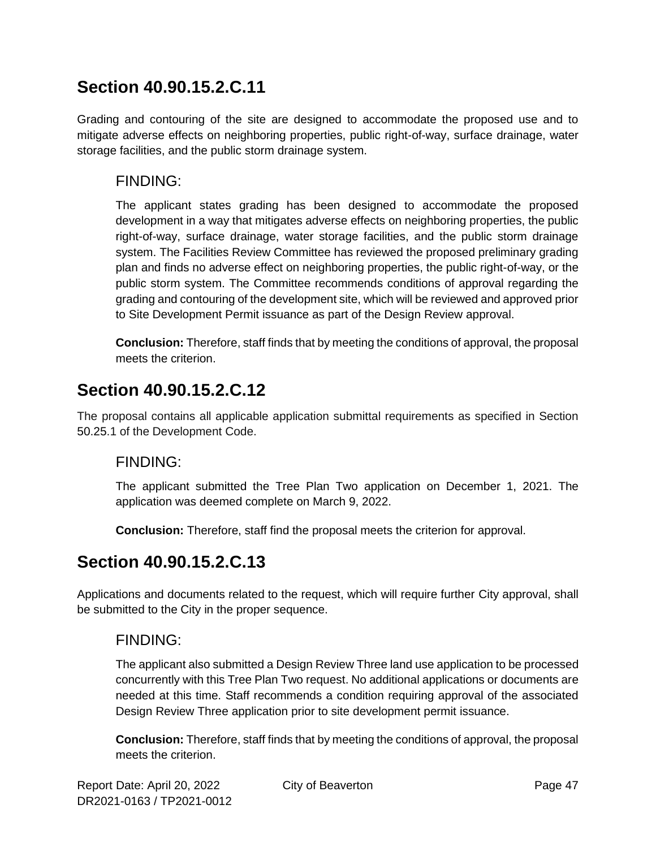### **Section 40.90.15.2.C.11**

Grading and contouring of the site are designed to accommodate the proposed use and to mitigate adverse effects on neighboring properties, public right-of-way, surface drainage, water storage facilities, and the public storm drainage system.

#### FINDING:

The applicant states grading has been designed to accommodate the proposed development in a way that mitigates adverse effects on neighboring properties, the public right-of-way, surface drainage, water storage facilities, and the public storm drainage system. The Facilities Review Committee has reviewed the proposed preliminary grading plan and finds no adverse effect on neighboring properties, the public right-of-way, or the public storm system. The Committee recommends conditions of approval regarding the grading and contouring of the development site, which will be reviewed and approved prior to Site Development Permit issuance as part of the Design Review approval.

**Conclusion:** Therefore, staff finds that by meeting the conditions of approval, the proposal meets the criterion.

### **Section 40.90.15.2.C.12**

The proposal contains all applicable application submittal requirements as specified in Section 50.25.1 of the Development Code.

### FINDING:

The applicant submitted the Tree Plan Two application on December 1, 2021. The application was deemed complete on March 9, 2022.

**Conclusion:** Therefore, staff find the proposal meets the criterion for approval.

## **Section 40.90.15.2.C.13**

Applications and documents related to the request, which will require further City approval, shall be submitted to the City in the proper sequence.

### FINDING:

The applicant also submitted a Design Review Three land use application to be processed concurrently with this Tree Plan Two request. No additional applications or documents are needed at this time. Staff recommends a condition requiring approval of the associated Design Review Three application prior to site development permit issuance.

**Conclusion:** Therefore, staff finds that by meeting the conditions of approval, the proposal meets the criterion.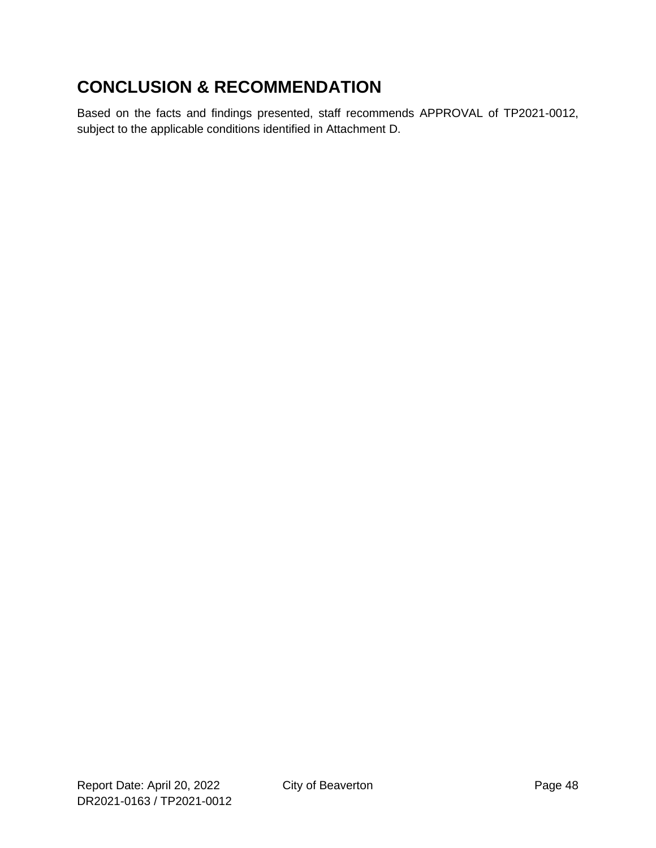## **CONCLUSION & RECOMMENDATION**

Based on the facts and findings presented, staff recommends APPROVAL of TP2021-0012, subject to the applicable conditions identified in Attachment D.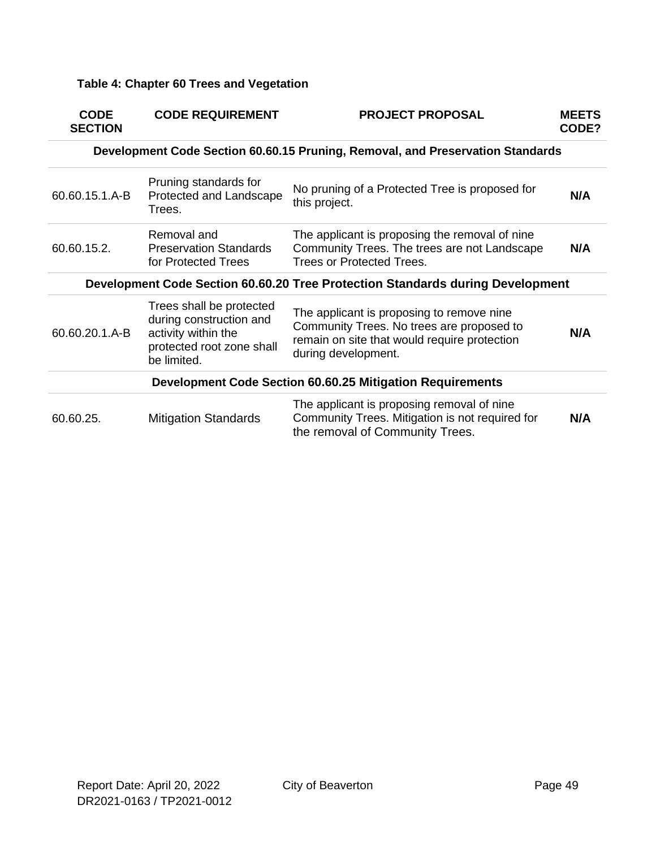#### **Table 4: Chapter 60 Trees and Vegetation**

| <b>CODE</b><br><b>SECTION</b> | <b>CODE REQUIREMENT</b>                                                                                                | <b>PROJECT PROPOSAL</b>                                                                                                                                       | <b>MEETS</b><br>CODE? |
|-------------------------------|------------------------------------------------------------------------------------------------------------------------|---------------------------------------------------------------------------------------------------------------------------------------------------------------|-----------------------|
|                               |                                                                                                                        | Development Code Section 60.60.15 Pruning, Removal, and Preservation Standards                                                                                |                       |
| 60.60.15.1.A-B                | Pruning standards for<br>Protected and Landscape<br>Trees.                                                             | No pruning of a Protected Tree is proposed for<br>this project.                                                                                               | N/A                   |
| 60.60.15.2.                   | Removal and<br><b>Preservation Standards</b><br>for Protected Trees                                                    | The applicant is proposing the removal of nine<br>Community Trees. The trees are not Landscape<br><b>Trees or Protected Trees.</b>                            | N/A                   |
|                               |                                                                                                                        | Development Code Section 60.60.20 Tree Protection Standards during Development                                                                                |                       |
| 60.60.20.1.A-B                | Trees shall be protected<br>during construction and<br>activity within the<br>protected root zone shall<br>be limited. | The applicant is proposing to remove nine<br>Community Trees. No trees are proposed to<br>remain on site that would require protection<br>during development. | N/A                   |
|                               |                                                                                                                        | <b>Development Code Section 60.60.25 Mitigation Requirements</b>                                                                                              |                       |
| 60.60.25.                     | <b>Mitigation Standards</b>                                                                                            | The applicant is proposing removal of nine<br>Community Trees. Mitigation is not required for<br>the removal of Community Trees.                              | N/A                   |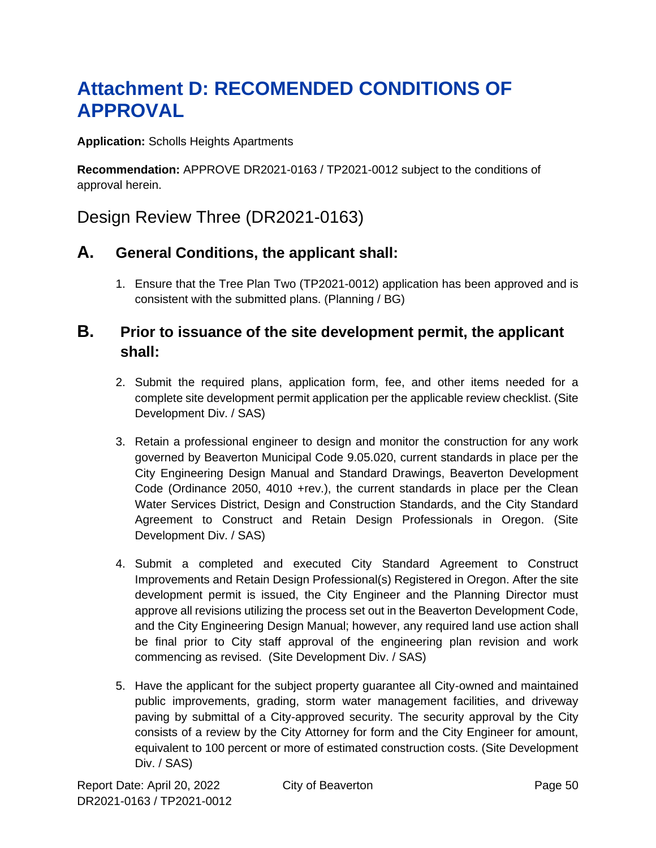# <span id="page-49-0"></span>**Attachment D: RECOMENDED CONDITIONS OF APPROVAL**

**Application:** Scholls Heights Apartments

**Recommendation:** APPROVE DR2021-0163 / TP2021-0012 subject to the conditions of approval herein.

### Design Review Three (DR2021-0163)

### **A. General Conditions, the applicant shall:**

1. Ensure that the Tree Plan Two (TP2021-0012) application has been approved and is consistent with the submitted plans. (Planning / BG)

### **B. Prior to issuance of the site development permit, the applicant shall:**

- 2. Submit the required plans, application form, fee, and other items needed for a complete site development permit application per the applicable review checklist. (Site Development Div. / SAS)
- 3. Retain a professional engineer to design and monitor the construction for any work governed by Beaverton Municipal Code 9.05.020, current standards in place per the City Engineering Design Manual and Standard Drawings, Beaverton Development Code (Ordinance 2050, 4010 +rev.), the current standards in place per the Clean Water Services District, Design and Construction Standards, and the City Standard Agreement to Construct and Retain Design Professionals in Oregon. (Site Development Div. / SAS)
- 4. Submit a completed and executed City Standard Agreement to Construct Improvements and Retain Design Professional(s) Registered in Oregon. After the site development permit is issued, the City Engineer and the Planning Director must approve all revisions utilizing the process set out in the Beaverton Development Code, and the City Engineering Design Manual; however, any required land use action shall be final prior to City staff approval of the engineering plan revision and work commencing as revised. (Site Development Div. / SAS)
- 5. Have the applicant for the subject property guarantee all City-owned and maintained public improvements, grading, storm water management facilities, and driveway paving by submittal of a City-approved security. The security approval by the City consists of a review by the City Attorney for form and the City Engineer for amount, equivalent to 100 percent or more of estimated construction costs. (Site Development Div. / SAS)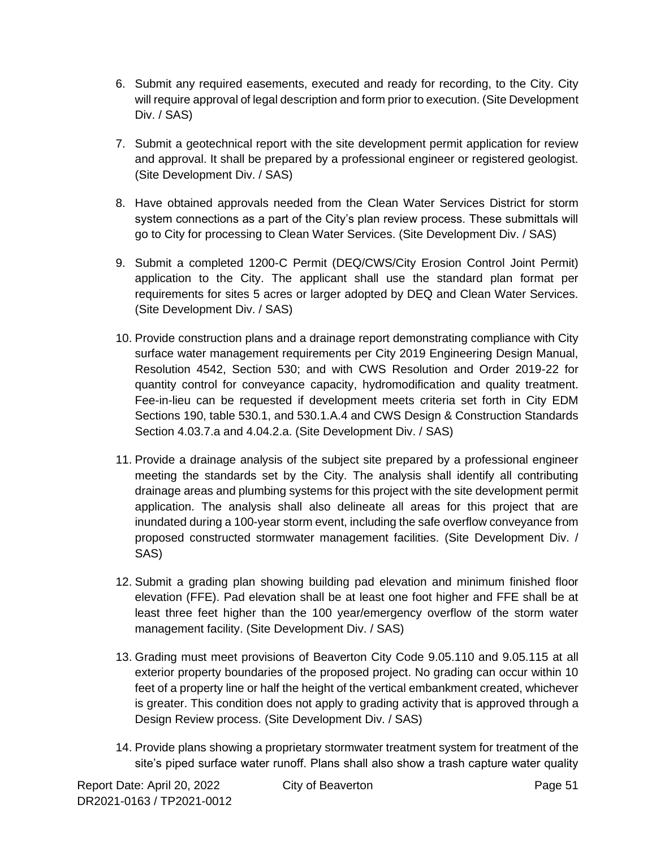- 6. Submit any required easements, executed and ready for recording, to the City. City will require approval of legal description and form prior to execution. (Site Development Div. / SAS)
- 7. Submit a geotechnical report with the site development permit application for review and approval. It shall be prepared by a professional engineer or registered geologist. (Site Development Div. / SAS)
- 8. Have obtained approvals needed from the Clean Water Services District for storm system connections as a part of the City's plan review process. These submittals will go to City for processing to Clean Water Services. (Site Development Div. / SAS)
- 9. Submit a completed 1200-C Permit (DEQ/CWS/City Erosion Control Joint Permit) application to the City. The applicant shall use the standard plan format per requirements for sites 5 acres or larger adopted by DEQ and Clean Water Services. (Site Development Div. / SAS)
- 10. Provide construction plans and a drainage report demonstrating compliance with City surface water management requirements per City 2019 Engineering Design Manual, Resolution 4542, Section 530; and with CWS Resolution and Order 2019-22 for quantity control for conveyance capacity, hydromodification and quality treatment. Fee-in-lieu can be requested if development meets criteria set forth in City EDM Sections 190, table 530.1, and 530.1.A.4 and CWS Design & Construction Standards Section 4.03.7.a and 4.04.2.a. (Site Development Div. / SAS)
- 11. Provide a drainage analysis of the subject site prepared by a professional engineer meeting the standards set by the City. The analysis shall identify all contributing drainage areas and plumbing systems for this project with the site development permit application. The analysis shall also delineate all areas for this project that are inundated during a 100-year storm event, including the safe overflow conveyance from proposed constructed stormwater management facilities. (Site Development Div. / SAS)
- 12. Submit a grading plan showing building pad elevation and minimum finished floor elevation (FFE). Pad elevation shall be at least one foot higher and FFE shall be at least three feet higher than the 100 year/emergency overflow of the storm water management facility. (Site Development Div. / SAS)
- 13. Grading must meet provisions of Beaverton City Code 9.05.110 and 9.05.115 at all exterior property boundaries of the proposed project. No grading can occur within 10 feet of a property line or half the height of the vertical embankment created, whichever is greater. This condition does not apply to grading activity that is approved through a Design Review process. (Site Development Div. / SAS)
- 14. Provide plans showing a proprietary stormwater treatment system for treatment of the site's piped surface water runoff. Plans shall also show a trash capture water quality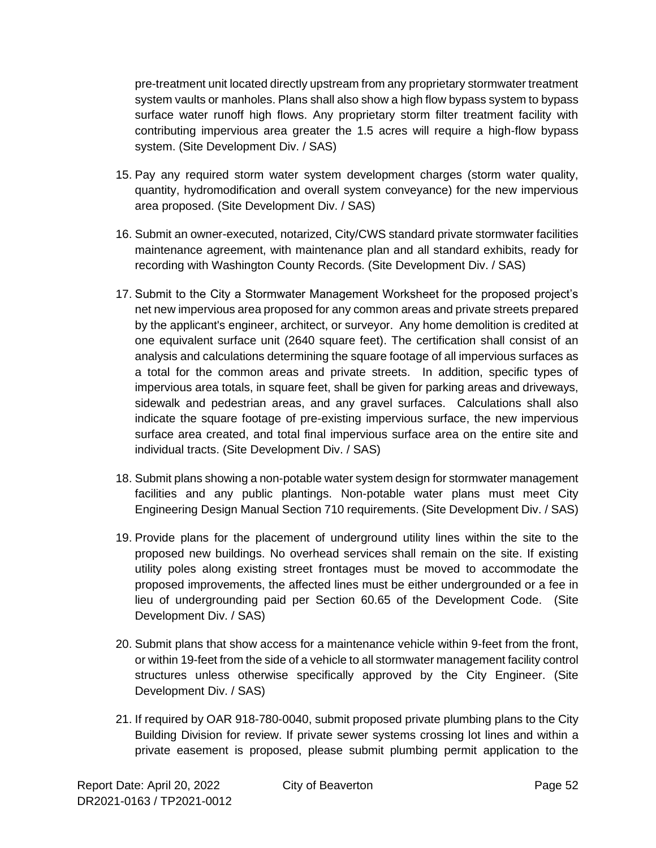pre-treatment unit located directly upstream from any proprietary stormwater treatment system vaults or manholes. Plans shall also show a high flow bypass system to bypass surface water runoff high flows. Any proprietary storm filter treatment facility with contributing impervious area greater the 1.5 acres will require a high-flow bypass system. (Site Development Div. / SAS)

- 15. Pay any required storm water system development charges (storm water quality, quantity, hydromodification and overall system conveyance) for the new impervious area proposed. (Site Development Div. / SAS)
- 16. Submit an owner-executed, notarized, City/CWS standard private stormwater facilities maintenance agreement, with maintenance plan and all standard exhibits, ready for recording with Washington County Records. (Site Development Div. / SAS)
- 17. Submit to the City a Stormwater Management Worksheet for the proposed project's net new impervious area proposed for any common areas and private streets prepared by the applicant's engineer, architect, or surveyor. Any home demolition is credited at one equivalent surface unit (2640 square feet). The certification shall consist of an analysis and calculations determining the square footage of all impervious surfaces as a total for the common areas and private streets. In addition, specific types of impervious area totals, in square feet, shall be given for parking areas and driveways, sidewalk and pedestrian areas, and any gravel surfaces. Calculations shall also indicate the square footage of pre-existing impervious surface, the new impervious surface area created, and total final impervious surface area on the entire site and individual tracts. (Site Development Div. / SAS)
- 18. Submit plans showing a non-potable water system design for stormwater management facilities and any public plantings. Non-potable water plans must meet City Engineering Design Manual Section 710 requirements. (Site Development Div. / SAS)
- 19. Provide plans for the placement of underground utility lines within the site to the proposed new buildings. No overhead services shall remain on the site. If existing utility poles along existing street frontages must be moved to accommodate the proposed improvements, the affected lines must be either undergrounded or a fee in lieu of undergrounding paid per Section 60.65 of the Development Code. (Site Development Div. / SAS)
- 20. Submit plans that show access for a maintenance vehicle within 9-feet from the front, or within 19-feet from the side of a vehicle to all stormwater management facility control structures unless otherwise specifically approved by the City Engineer. (Site Development Div. / SAS)
- 21. If required by OAR 918-780-0040, submit proposed private plumbing plans to the City Building Division for review. If private sewer systems crossing lot lines and within a private easement is proposed, please submit plumbing permit application to the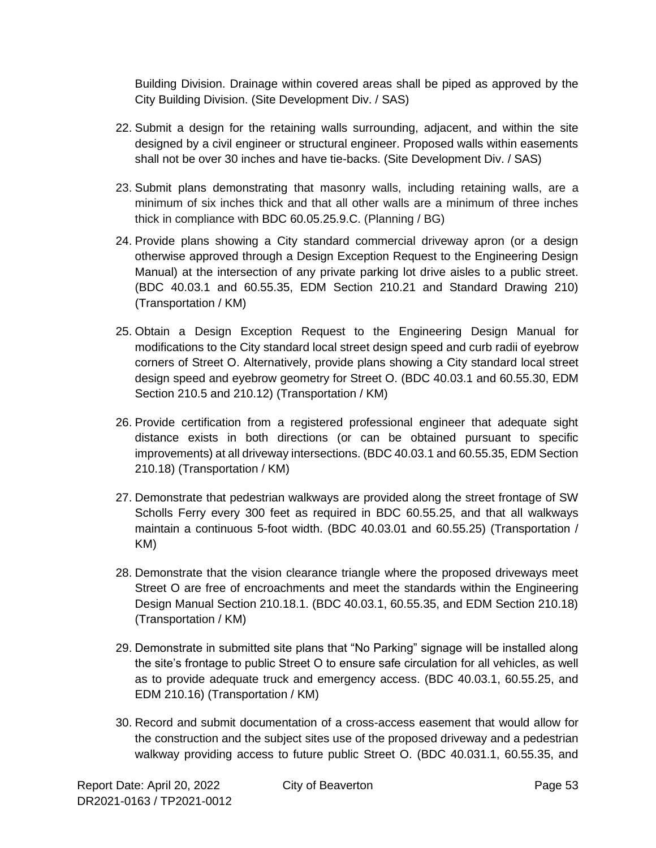Building Division. Drainage within covered areas shall be piped as approved by the City Building Division. (Site Development Div. / SAS)

- 22. Submit a design for the retaining walls surrounding, adjacent, and within the site designed by a civil engineer or structural engineer. Proposed walls within easements shall not be over 30 inches and have tie-backs. (Site Development Div. / SAS)
- 23. Submit plans demonstrating that masonry walls, including retaining walls, are a minimum of six inches thick and that all other walls are a minimum of three inches thick in compliance with BDC 60.05.25.9.C. (Planning / BG)
- 24. Provide plans showing a City standard commercial driveway apron (or a design otherwise approved through a Design Exception Request to the Engineering Design Manual) at the intersection of any private parking lot drive aisles to a public street. (BDC 40.03.1 and 60.55.35, EDM Section 210.21 and Standard Drawing 210) (Transportation / KM)
- 25. Obtain a Design Exception Request to the Engineering Design Manual for modifications to the City standard local street design speed and curb radii of eyebrow corners of Street O. Alternatively, provide plans showing a City standard local street design speed and eyebrow geometry for Street O. (BDC 40.03.1 and 60.55.30, EDM Section 210.5 and 210.12) (Transportation / KM)
- 26. Provide certification from a registered professional engineer that adequate sight distance exists in both directions (or can be obtained pursuant to specific improvements) at all driveway intersections. (BDC 40.03.1 and 60.55.35, EDM Section 210.18) (Transportation / KM)
- 27. Demonstrate that pedestrian walkways are provided along the street frontage of SW Scholls Ferry every 300 feet as required in BDC 60.55.25, and that all walkways maintain a continuous 5-foot width. (BDC 40.03.01 and 60.55.25) (Transportation / KM)
- 28. Demonstrate that the vision clearance triangle where the proposed driveways meet Street O are free of encroachments and meet the standards within the Engineering Design Manual Section 210.18.1. (BDC 40.03.1, 60.55.35, and EDM Section 210.18) (Transportation / KM)
- 29. Demonstrate in submitted site plans that "No Parking" signage will be installed along the site's frontage to public Street O to ensure safe circulation for all vehicles, as well as to provide adequate truck and emergency access. (BDC 40.03.1, 60.55.25, and EDM 210.16) (Transportation / KM)
- 30. Record and submit documentation of a cross-access easement that would allow for the construction and the subject sites use of the proposed driveway and a pedestrian walkway providing access to future public Street O. (BDC 40.031.1, 60.55.35, and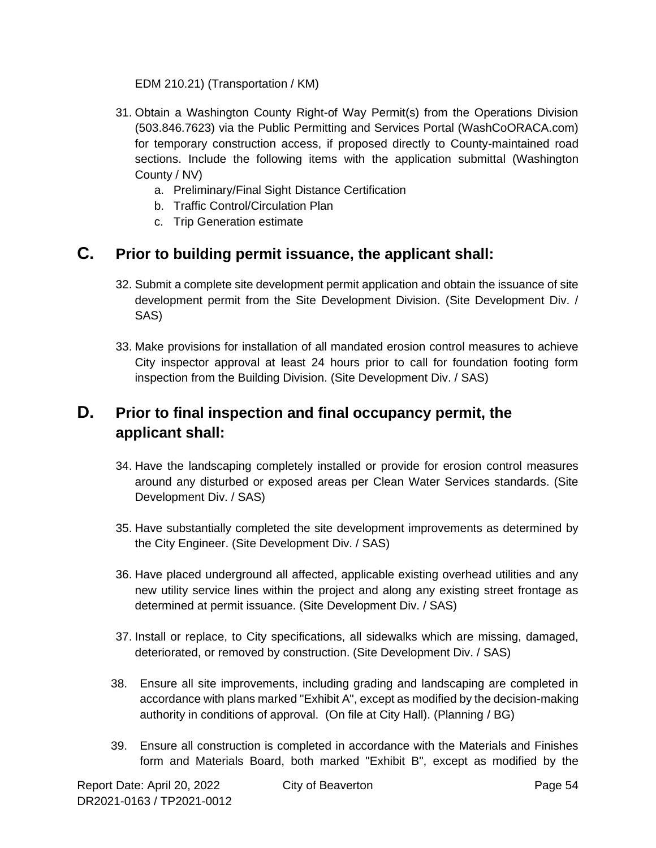EDM 210.21) (Transportation / KM)

- 31. Obtain a Washington County Right-of Way Permit(s) from the Operations Division (503.846.7623) via the Public Permitting and Services Portal (WashCoORACA.com) for temporary construction access, if proposed directly to County-maintained road sections. Include the following items with the application submittal (Washington County / NV)
	- a. Preliminary/Final Sight Distance Certification
	- b. Traffic Control/Circulation Plan
	- c. Trip Generation estimate

### **C. Prior to building permit issuance, the applicant shall:**

- 32. Submit a complete site development permit application and obtain the issuance of site development permit from the Site Development Division. (Site Development Div. / SAS)
- 33. Make provisions for installation of all mandated erosion control measures to achieve City inspector approval at least 24 hours prior to call for foundation footing form inspection from the Building Division. (Site Development Div. / SAS)

### **D. Prior to final inspection and final occupancy permit, the applicant shall:**

- 34. Have the landscaping completely installed or provide for erosion control measures around any disturbed or exposed areas per Clean Water Services standards. (Site Development Div. / SAS)
- 35. Have substantially completed the site development improvements as determined by the City Engineer. (Site Development Div. / SAS)
- 36. Have placed underground all affected, applicable existing overhead utilities and any new utility service lines within the project and along any existing street frontage as determined at permit issuance. (Site Development Div. / SAS)
- 37. Install or replace, to City specifications, all sidewalks which are missing, damaged, deteriorated, or removed by construction. (Site Development Div. / SAS)
- 38. Ensure all site improvements, including grading and landscaping are completed in accordance with plans marked "Exhibit A", except as modified by the decision-making authority in conditions of approval. (On file at City Hall). (Planning / BG)
- 39. Ensure all construction is completed in accordance with the Materials and Finishes form and Materials Board, both marked "Exhibit B", except as modified by the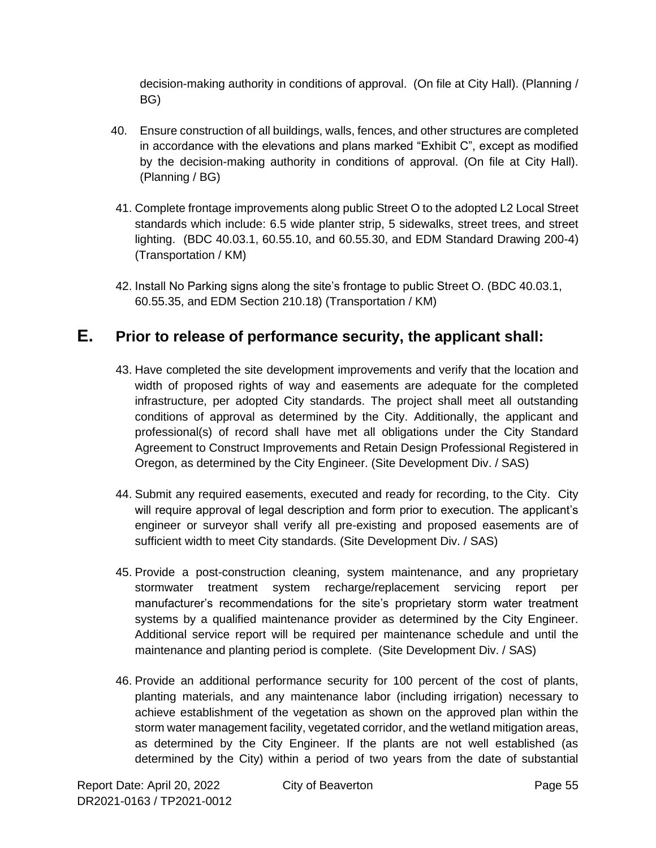decision-making authority in conditions of approval. (On file at City Hall). (Planning / BG)

- 40. Ensure construction of all buildings, walls, fences, and other structures are completed in accordance with the elevations and plans marked "Exhibit C", except as modified by the decision-making authority in conditions of approval. (On file at City Hall). (Planning / BG)
- 41. Complete frontage improvements along public Street O to the adopted L2 Local Street standards which include: 6.5 wide planter strip, 5 sidewalks, street trees, and street lighting. (BDC 40.03.1, 60.55.10, and 60.55.30, and EDM Standard Drawing 200-4) (Transportation / KM)
- 42. Install No Parking signs along the site's frontage to public Street O. (BDC 40.03.1, 60.55.35, and EDM Section 210.18) (Transportation / KM)

### **E. Prior to release of performance security, the applicant shall:**

- 43. Have completed the site development improvements and verify that the location and width of proposed rights of way and easements are adequate for the completed infrastructure, per adopted City standards. The project shall meet all outstanding conditions of approval as determined by the City. Additionally, the applicant and professional(s) of record shall have met all obligations under the City Standard Agreement to Construct Improvements and Retain Design Professional Registered in Oregon, as determined by the City Engineer. (Site Development Div. / SAS)
- 44. Submit any required easements, executed and ready for recording, to the City. City will require approval of legal description and form prior to execution. The applicant's engineer or surveyor shall verify all pre-existing and proposed easements are of sufficient width to meet City standards. (Site Development Div. / SAS)
- 45. Provide a post-construction cleaning, system maintenance, and any proprietary stormwater treatment system recharge/replacement servicing report per manufacturer's recommendations for the site's proprietary storm water treatment systems by a qualified maintenance provider as determined by the City Engineer. Additional service report will be required per maintenance schedule and until the maintenance and planting period is complete. (Site Development Div. / SAS)
- 46. Provide an additional performance security for 100 percent of the cost of plants, planting materials, and any maintenance labor (including irrigation) necessary to achieve establishment of the vegetation as shown on the approved plan within the storm water management facility, vegetated corridor, and the wetland mitigation areas, as determined by the City Engineer. If the plants are not well established (as determined by the City) within a period of two years from the date of substantial